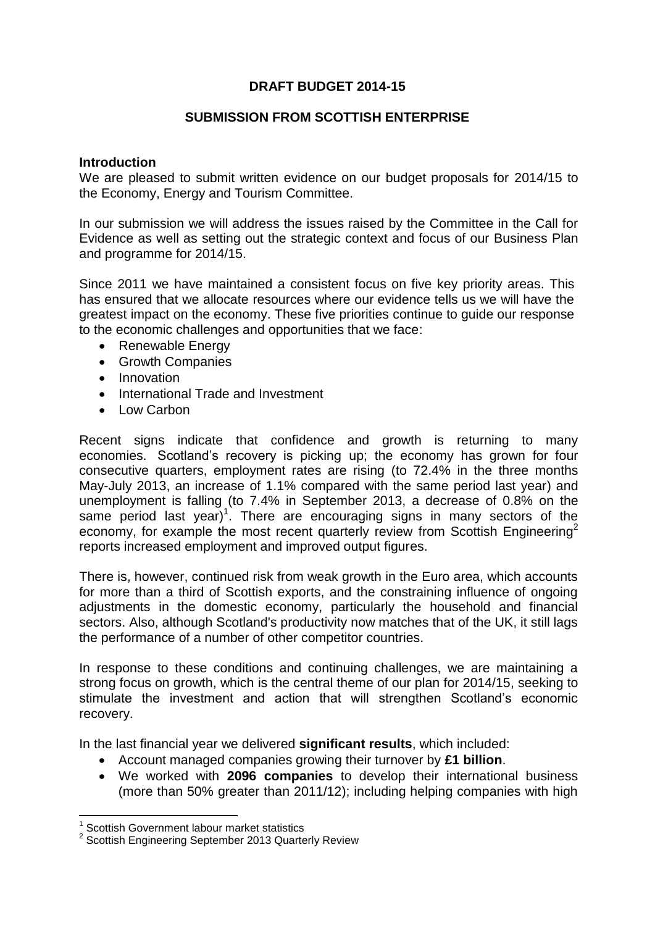## **DRAFT BUDGET 2014-15**

#### **SUBMISSION FROM SCOTTISH ENTERPRISE**

#### **Introduction**

We are pleased to submit written evidence on our budget proposals for 2014/15 to the Economy, Energy and Tourism Committee.

In our submission we will address the issues raised by the Committee in the Call for Evidence as well as setting out the strategic context and focus of our Business Plan and programme for 2014/15.

Since 2011 we have maintained a consistent focus on five key priority areas. This has ensured that we allocate resources where our evidence tells us we will have the greatest impact on the economy. These five priorities continue to guide our response to the economic challenges and opportunities that we face:

- Renewable Energy
- Growth Companies
- Innovation
- International Trade and Investment
- Low Carbon

Recent signs indicate that confidence and growth is returning to many economies. Scotland's recovery is picking up; the economy has grown for four consecutive quarters, employment rates are rising (to 72.4% in the three months May-July 2013, an increase of 1.1% compared with the same period last year) and unemployment is falling (to 7.4% in September 2013, a decrease of 0.8% on the same period last year)<sup>1</sup>. There are encouraging signs in many sectors of the economy, for example the most recent quarterly review from Scottish Engineering<sup>2</sup> reports increased employment and improved output figures.

There is, however, continued risk from weak growth in the Euro area, which accounts for more than a third of Scottish exports, and the constraining influence of ongoing adjustments in the domestic economy, particularly the household and financial sectors. Also, although Scotland's productivity now matches that of the UK, it still lags the performance of a number of other competitor countries.

In response to these conditions and continuing challenges, we are maintaining a strong focus on growth, which is the central theme of our plan for 2014/15, seeking to stimulate the investment and action that will strengthen Scotland's economic recovery.

In the last financial year we delivered **significant results**, which included:

- Account managed companies growing their turnover by **£1 billion**.
- We worked with **2096 companies** to develop their international business (more than 50% greater than 2011/12); including helping companies with high

 $\overline{\phantom{a}}$ 

<sup>1</sup> Scottish Government labour market statistics

<sup>&</sup>lt;sup>2</sup> Scottish Engineering September 2013 Quarterly Review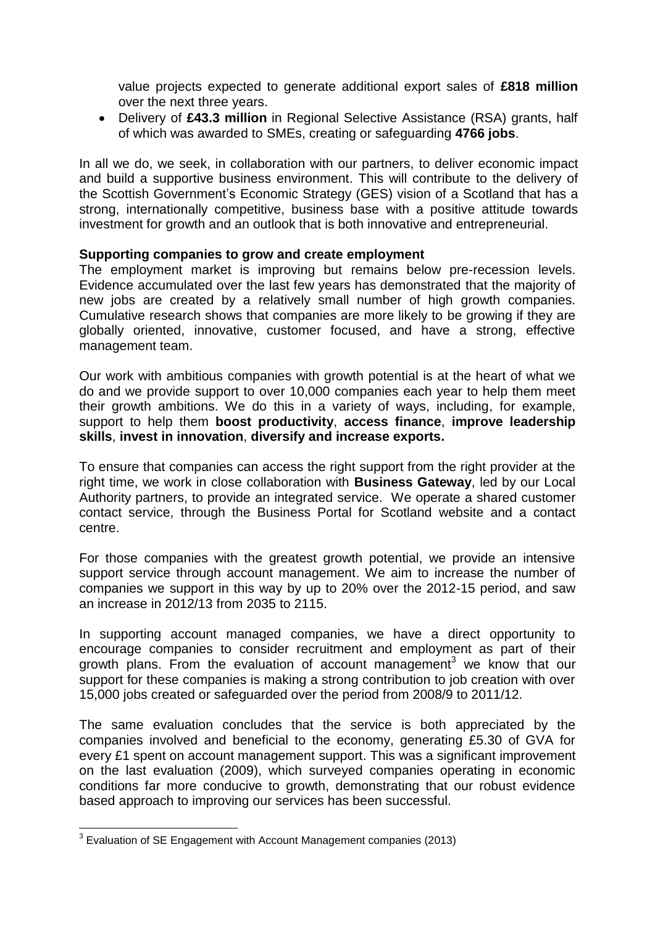value projects expected to generate additional export sales of **£818 million** over the next three years.

 Delivery of **£43.3 million** in Regional Selective Assistance (RSA) grants, half of which was awarded to SMEs, creating or safeguarding **4766 jobs**.

In all we do, we seek, in collaboration with our partners, to deliver economic impact and build a supportive business environment. This will contribute to the delivery of the Scottish Government's Economic Strategy (GES) vision of a Scotland that has a strong, internationally competitive, business base with a positive attitude towards investment for growth and an outlook that is both innovative and entrepreneurial.

#### **Supporting companies to grow and create employment**

The employment market is improving but remains below pre-recession levels. Evidence accumulated over the last few years has demonstrated that the majority of new jobs are created by a relatively small number of high growth companies. Cumulative research shows that companies are more likely to be growing if they are globally oriented, innovative, customer focused, and have a strong, effective management team.

Our work with ambitious companies with growth potential is at the heart of what we do and we provide support to over 10,000 companies each year to help them meet their growth ambitions. We do this in a variety of ways, including, for example, support to help them **boost productivity**, **access finance**, **improve leadership skills**, **invest in innovation**, **diversify and increase exports.** 

To ensure that companies can access the right support from the right provider at the right time, we work in close collaboration with **Business Gateway**, led by our Local Authority partners, to provide an integrated service. We operate a shared customer contact service, through the Business Portal for Scotland website and a contact centre.

For those companies with the greatest growth potential, we provide an intensive support service through account management. We aim to increase the number of companies we support in this way by up to 20% over the 2012-15 period, and saw an increase in 2012/13 from 2035 to 2115.

In supporting account managed companies, we have a direct opportunity to encourage companies to consider recruitment and employment as part of their growth plans. From the evaluation of account management<sup>3</sup> we know that our support for these companies is making a strong contribution to job creation with over 15,000 jobs created or safeguarded over the period from 2008/9 to 2011/12.

The same evaluation concludes that the service is both appreciated by the companies involved and beneficial to the economy, generating £5.30 of GVA for every £1 spent on account management support. This was a significant improvement on the last evaluation (2009), which surveyed companies operating in economic conditions far more conducive to growth, demonstrating that our robust evidence based approach to improving our services has been successful.

\_\_\_\_\_\_\_\_\_\_\_\_\_\_\_\_\_\_\_\_\_\_\_\_\_\_\_\_\_\_\_\_\_\_<br><sup>3</sup> Evaluation of SE Engagement with Account Management companies (2013)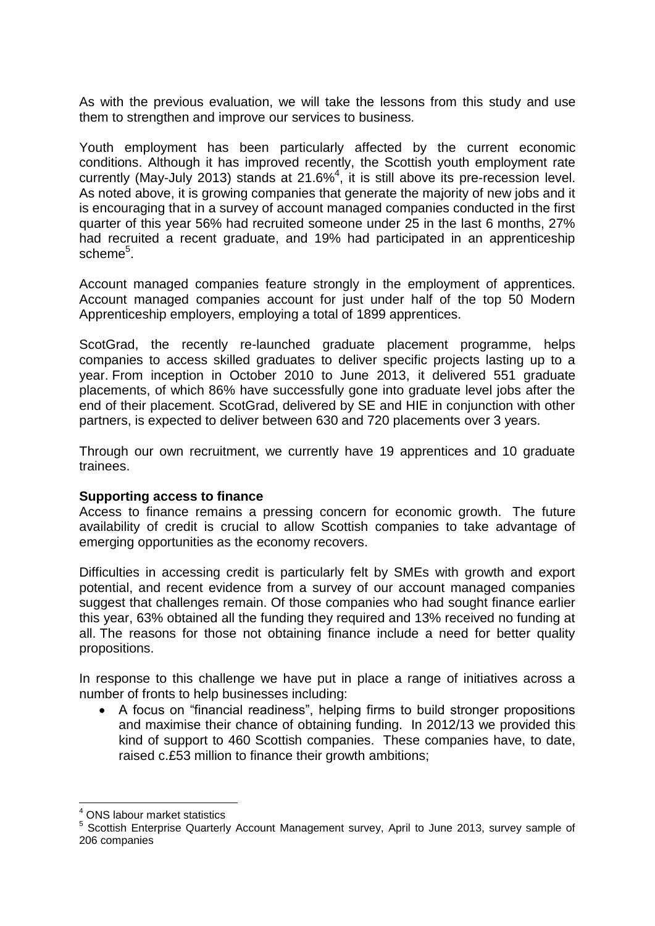As with the previous evaluation, we will take the lessons from this study and use them to strengthen and improve our services to business.

Youth employment has been particularly affected by the current economic conditions. Although it has improved recently, the Scottish youth employment rate currently (May-July 2013) stands at 21.6% $4$ , it is still above its pre-recession level. As noted above, it is growing companies that generate the majority of new jobs and it is encouraging that in a survey of account managed companies conducted in the first quarter of this year 56% had recruited someone under 25 in the last 6 months, 27% had recruited a recent graduate, and 19% had participated in an apprenticeship scheme<sup>5</sup>.

Account managed companies feature strongly in the employment of apprentices. Account managed companies account for just under half of the top 50 Modern Apprenticeship employers, employing a total of 1899 apprentices.

ScotGrad, the recently re-launched graduate placement programme, helps companies to access skilled graduates to deliver specific projects lasting up to a year. From inception in October 2010 to June 2013, it delivered 551 graduate placements, of which 86% have successfully gone into graduate level jobs after the end of their placement. ScotGrad, delivered by SE and HIE in conjunction with other partners, is expected to deliver between 630 and 720 placements over 3 years.

Through our own recruitment, we currently have 19 apprentices and 10 graduate trainees.

#### **Supporting access to finance**

Access to finance remains a pressing concern for economic growth. The future availability of credit is crucial to allow Scottish companies to take advantage of emerging opportunities as the economy recovers.

Difficulties in accessing credit is particularly felt by SMEs with growth and export potential, and recent evidence from a survey of our account managed companies suggest that challenges remain. Of those companies who had sought finance earlier this year, 63% obtained all the funding they required and 13% received no funding at all. The reasons for those not obtaining finance include a need for better quality propositions.

In response to this challenge we have put in place a range of initiatives across a number of fronts to help businesses including:

 A focus on "financial readiness", helping firms to build stronger propositions and maximise their chance of obtaining funding. In 2012/13 we provided this kind of support to 460 Scottish companies. These companies have, to date, raised c.£53 million to finance their growth ambitions;

<sup>&</sup>lt;u>.</u> <sup>4</sup> ONS labour market statistics

<sup>&</sup>lt;sup>5</sup> Scottish Enterprise Quarterly Account Management survey, April to June 2013, survey sample of 206 companies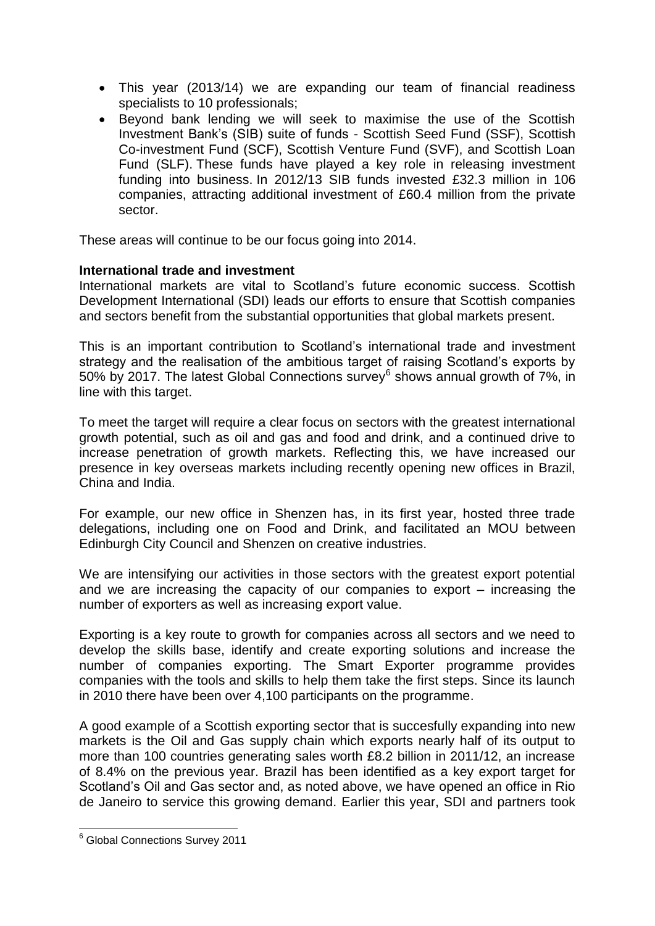- This year (2013/14) we are expanding our team of financial readiness specialists to 10 professionals;
- Beyond bank lending we will seek to maximise the use of the Scottish Investment Bank's (SIB) suite of funds - Scottish Seed Fund (SSF), Scottish Co-investment Fund (SCF), Scottish Venture Fund (SVF), and Scottish Loan Fund (SLF). These funds have played a key role in releasing investment funding into business. In 2012/13 SIB funds invested £32.3 million in 106 companies, attracting additional investment of £60.4 million from the private sector.

These areas will continue to be our focus going into 2014.

## **International trade and investment**

International markets are vital to Scotland's future economic success. Scottish Development International (SDI) leads our efforts to ensure that Scottish companies and sectors benefit from the substantial opportunities that global markets present.

This is an important contribution to Scotland's international trade and investment strategy and the realisation of the ambitious target of raising Scotland's exports by 50% by 2017. The latest Global Connections survey $^6$  shows annual growth of 7%, in line with this target.

To meet the target will require a clear focus on sectors with the greatest international growth potential, such as oil and gas and food and drink, and a continued drive to increase penetration of growth markets. Reflecting this, we have increased our presence in key overseas markets including recently opening new offices in Brazil, China and India.

For example, our new office in Shenzen has, in its first year, hosted three trade delegations, including one on Food and Drink, and facilitated an MOU between Edinburgh City Council and Shenzen on creative industries.

We are intensifying our activities in those sectors with the greatest export potential and we are increasing the capacity of our companies to export – increasing the number of exporters as well as increasing export value.

Exporting is a key route to growth for companies across all sectors and we need to develop the skills base, identify and create exporting solutions and increase the number of companies exporting. The Smart Exporter programme provides companies with the tools and skills to help them take the first steps. Since its launch in 2010 there have been over 4,100 participants on the programme.

A good example of a Scottish exporting sector that is succesfully expanding into new markets is the Oil and Gas supply chain which exports nearly half of its output to more than 100 countries generating sales worth £8.2 billion in 2011/12, an increase of 8.4% on the previous year. Brazil has been identified as a key export target for Scotland's Oil and Gas sector and, as noted above, we have opened an office in Rio de Janeiro to service this growing demand. Earlier this year, SDI and partners took

**.** 

<sup>&</sup>lt;sup>6</sup> Global Connections Survey 2011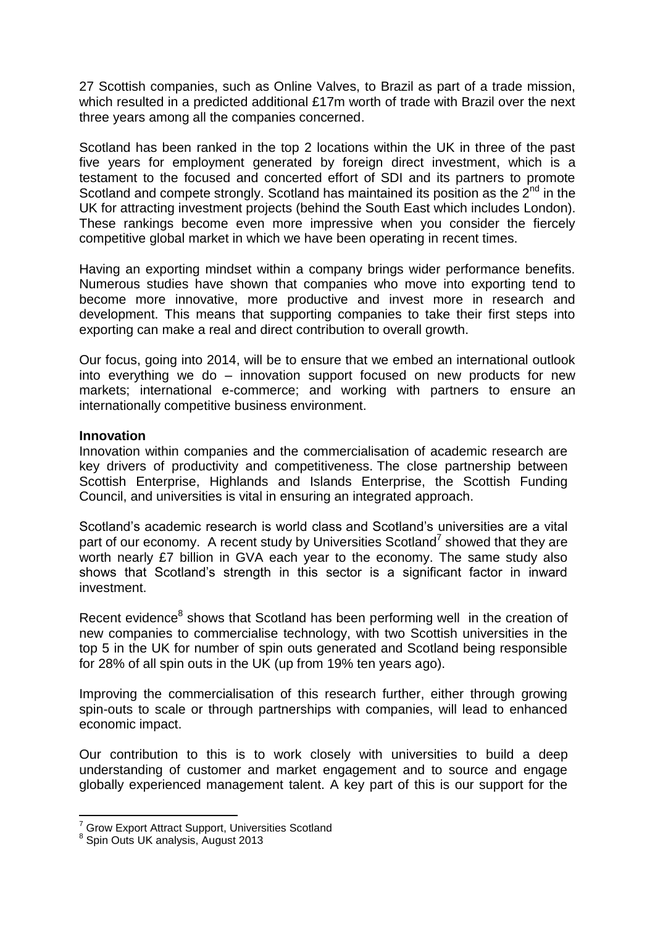27 Scottish companies, such as Online Valves, to Brazil as part of a trade mission, which resulted in a predicted additional £17m worth of trade with Brazil over the next three years among all the companies concerned.

Scotland has been ranked in the top 2 locations within the UK in three of the past five years for employment generated by foreign direct investment, which is a testament to the focused and concerted effort of SDI and its partners to promote Scotland and compete strongly. Scotland has maintained its position as the  $2^{nd}$  in the UK for attracting investment projects (behind the South East which includes London). These rankings become even more impressive when you consider the fiercely competitive global market in which we have been operating in recent times.

Having an exporting mindset within a company brings wider performance benefits. Numerous studies have shown that companies who move into exporting tend to become more innovative, more productive and invest more in research and development. This means that supporting companies to take their first steps into exporting can make a real and direct contribution to overall growth.

Our focus, going into 2014, will be to ensure that we embed an international outlook into everything we do – innovation support focused on new products for new markets; international e-commerce; and working with partners to ensure an internationally competitive business environment.

#### **Innovation**

Innovation within companies and the commercialisation of academic research are key drivers of productivity and competitiveness. The close partnership between Scottish Enterprise, Highlands and Islands Enterprise, the Scottish Funding Council, and universities is vital in ensuring an integrated approach.

Scotland's academic research is world class and Scotland's universities are a vital part of our economy. A recent study by Universities Scotland<sup>7</sup> showed that they are worth nearly £7 billion in GVA each year to the economy. The same study also shows that Scotland's strength in this sector is a significant factor in inward investment.

Recent evidence<sup>8</sup> shows that Scotland has been performing well in the creation of new companies to commercialise technology, with two Scottish universities in the top 5 in the UK for number of spin outs generated and Scotland being responsible for 28% of all spin outs in the UK (up from 19% ten years ago).

Improving the commercialisation of this research further, either through growing spin-outs to scale or through partnerships with companies, will lead to enhanced economic impact.

Our contribution to this is to work closely with universities to build a deep understanding of customer and market engagement and to source and engage globally experienced management talent. A key part of this is our support for the

1

<sup>&</sup>lt;sup>7</sup> Grow Export Attract Support, Universities Scotland

<sup>8</sup> Spin Outs UK analysis, August 2013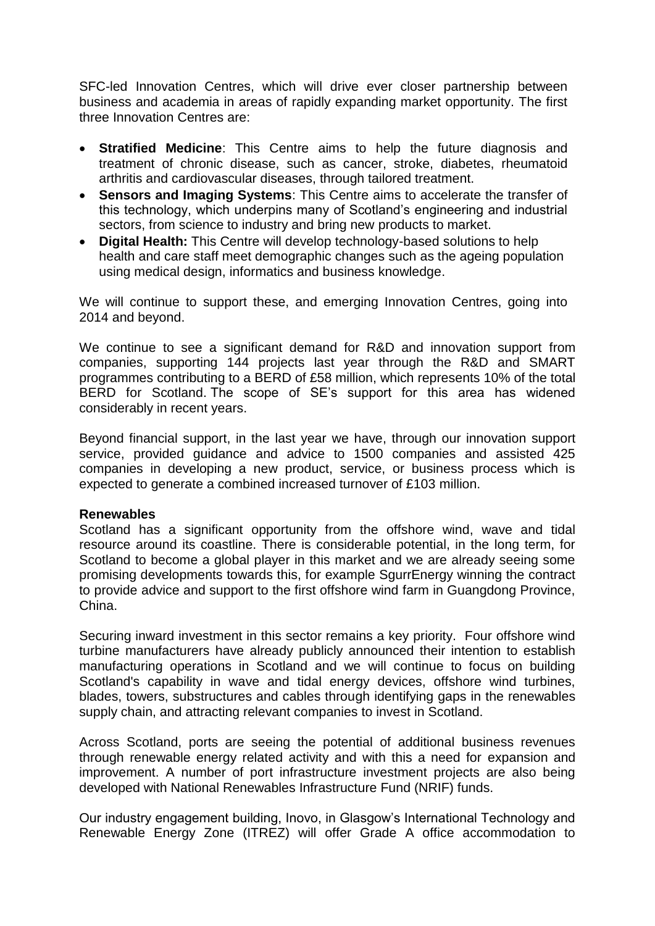SFC-led Innovation Centres, which will drive ever closer partnership between business and academia in areas of rapidly expanding market opportunity. The first three Innovation Centres are:

- **Stratified Medicine**: This Centre aims to help the future diagnosis and treatment of chronic disease, such as cancer, stroke, diabetes, rheumatoid arthritis and cardiovascular diseases, through tailored treatment.
- **Sensors and Imaging Systems**: This Centre aims to accelerate the transfer of this technology, which underpins many of Scotland's engineering and industrial sectors, from science to industry and bring new products to market.
- **Digital Health:** This Centre will develop technology-based solutions to help health and care staff meet demographic changes such as the ageing population using medical design, informatics and business knowledge.

We will continue to support these, and emerging Innovation Centres, going into 2014 and beyond.

We continue to see a significant demand for R&D and innovation support from companies, supporting 144 projects last year through the R&D and SMART programmes contributing to a BERD of £58 million, which represents 10% of the total BERD for Scotland. The scope of SE's support for this area has widened considerably in recent years.

Beyond financial support, in the last year we have, through our innovation support service, provided guidance and advice to 1500 companies and assisted 425 companies in developing a new product, service, or business process which is expected to generate a combined increased turnover of £103 million.

#### **Renewables**

Scotland has a significant opportunity from the offshore wind, wave and tidal resource around its coastline. There is considerable potential, in the long term, for Scotland to become a global player in this market and we are already seeing some promising developments towards this, for example SgurrEnergy winning the contract to provide advice and support to the first offshore wind farm in Guangdong Province, China.

Securing inward investment in this sector remains a key priority. Four offshore wind turbine manufacturers have already publicly announced their intention to establish manufacturing operations in Scotland and we will continue to focus on building Scotland's capability in wave and tidal energy devices, offshore wind turbines, blades, towers, substructures and cables through identifying gaps in the renewables supply chain, and attracting relevant companies to invest in Scotland.

Across Scotland, ports are seeing the potential of additional business revenues through renewable energy related activity and with this a need for expansion and improvement. A number of port infrastructure investment projects are also being developed with National Renewables Infrastructure Fund (NRIF) funds.

Our industry engagement building, Inovo, in Glasgow's International Technology and Renewable Energy Zone (ITREZ) will offer Grade A office accommodation to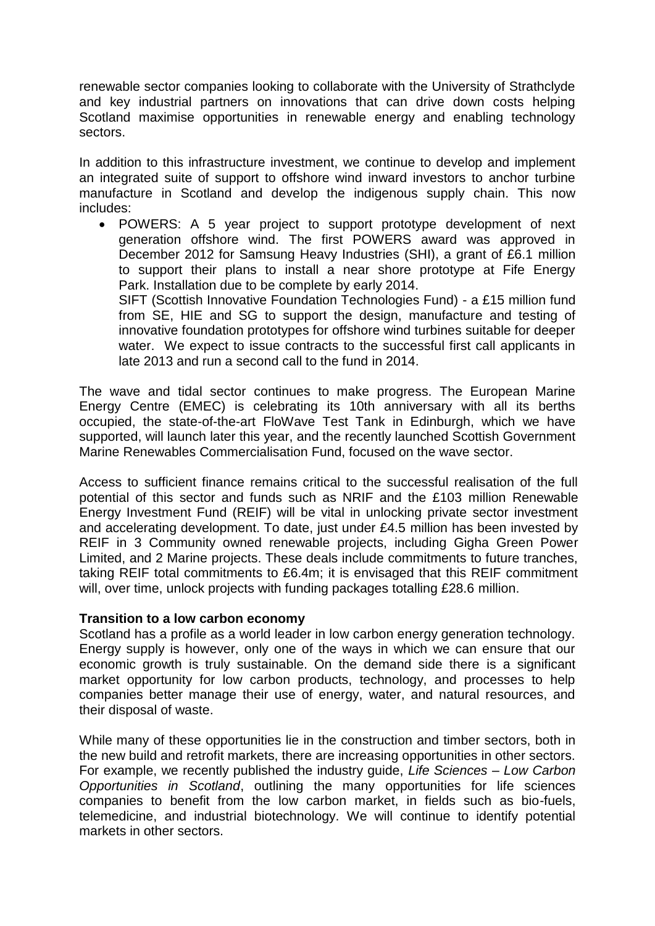renewable sector companies looking to collaborate with the University of Strathclyde and key industrial partners on innovations that can drive down costs helping Scotland maximise opportunities in renewable energy and enabling technology sectors.

In addition to this infrastructure investment, we continue to develop and implement an integrated suite of support to offshore wind inward investors to anchor turbine manufacture in Scotland and develop the indigenous supply chain. This now includes:

 POWERS: A 5 year project to support prototype development of next generation offshore wind. The first POWERS award was approved in December 2012 for Samsung Heavy Industries (SHI), a grant of £6.1 million to support their plans to install a near shore prototype at Fife Energy Park. Installation due to be complete by early 2014. SIFT (Scottish Innovative Foundation Technologies Fund) - a £15 million fund from SE, HIE and SG to support the design, manufacture and testing of innovative foundation prototypes for offshore wind turbines suitable for deeper water. We expect to issue contracts to the successful first call applicants in

late 2013 and run a second call to the fund in 2014. The wave and tidal sector continues to make progress. The European Marine

Energy Centre (EMEC) is celebrating its 10th anniversary with all its berths occupied, the state-of-the-art FloWave Test Tank in Edinburgh, which we have supported, will launch later this year, and the recently launched Scottish Government Marine Renewables Commercialisation Fund, focused on the wave sector.

Access to sufficient finance remains critical to the successful realisation of the full potential of this sector and funds such as NRIF and the £103 million Renewable Energy Investment Fund (REIF) will be vital in unlocking private sector investment and accelerating development. To date, just under £4.5 million has been invested by REIF in 3 Community owned renewable projects, including Gigha Green Power Limited, and 2 Marine projects. These deals include commitments to future tranches, taking REIF total commitments to £6.4m; it is envisaged that this REIF commitment will, over time, unlock projects with funding packages totalling £28.6 million.

#### **Transition to a low carbon economy**

Scotland has a profile as a world leader in low carbon energy generation technology. Energy supply is however, only one of the ways in which we can ensure that our economic growth is truly sustainable. On the demand side there is a significant market opportunity for low carbon products, technology, and processes to help companies better manage their use of energy, water, and natural resources, and their disposal of waste.

While many of these opportunities lie in the construction and timber sectors, both in the new build and retrofit markets, there are increasing opportunities in other sectors. For example, we recently published the industry guide, *Life Sciences – Low Carbon Opportunities in Scotland*, outlining the many opportunities for life sciences companies to benefit from the low carbon market, in fields such as bio-fuels, telemedicine, and industrial biotechnology. We will continue to identify potential markets in other sectors.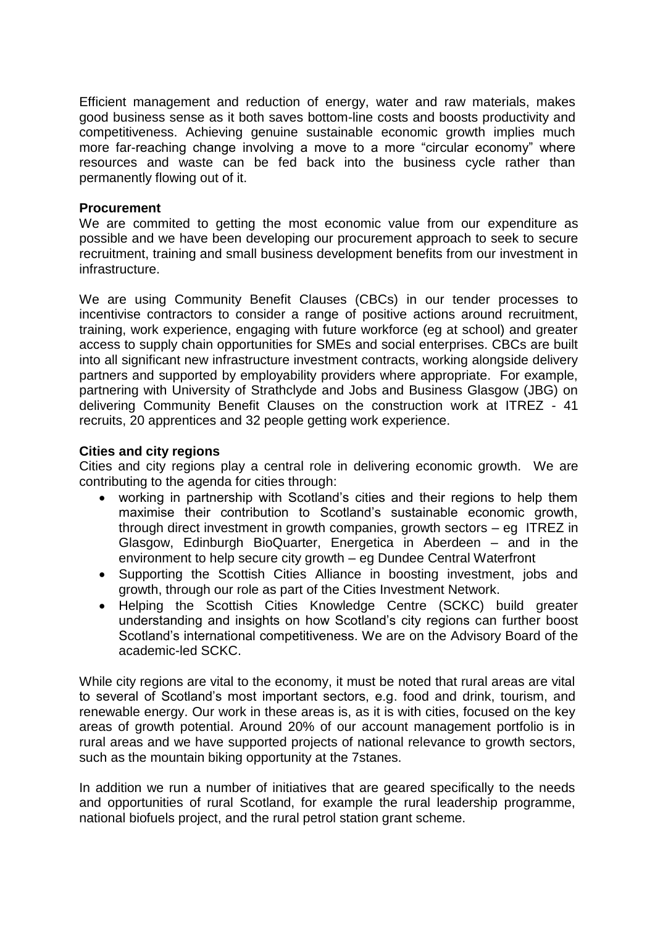Efficient management and reduction of energy, water and raw materials, makes good business sense as it both saves bottom-line costs and boosts productivity and competitiveness. Achieving genuine sustainable economic growth implies much more far-reaching change involving a move to a more "circular economy" where resources and waste can be fed back into the business cycle rather than permanently flowing out of it.

#### **Procurement**

We are commited to getting the most economic value from our expenditure as possible and we have been developing our procurement approach to seek to secure recruitment, training and small business development benefits from our investment in infrastructure.

We are using Community Benefit Clauses (CBCs) in our tender processes to incentivise contractors to consider a range of positive actions around recruitment, training, work experience, engaging with future workforce (eg at school) and greater access to supply chain opportunities for SMEs and social enterprises. CBCs are built into all significant new infrastructure investment contracts, working alongside delivery partners and supported by employability providers where appropriate. For example, partnering with University of Strathclyde and Jobs and Business Glasgow (JBG) on delivering Community Benefit Clauses on the construction work at ITREZ - 41 recruits, 20 apprentices and 32 people getting work experience.

#### **Cities and city regions**

Cities and city regions play a central role in delivering economic growth. We are contributing to the agenda for cities through:

- working in partnership with Scotland's cities and their regions to help them maximise their contribution to Scotland's sustainable economic growth, through direct investment in growth companies, growth sectors – eg ITREZ in Glasgow, Edinburgh BioQuarter, Energetica in Aberdeen – and in the environment to help secure city growth – eg Dundee Central Waterfront
- Supporting the Scottish Cities Alliance in boosting investment, jobs and growth, through our role as part of the Cities Investment Network.
- Helping the Scottish Cities Knowledge Centre (SCKC) build greater understanding and insights on how Scotland's city regions can further boost Scotland's international competitiveness. We are on the Advisory Board of the academic-led SCKC.

While city regions are vital to the economy, it must be noted that rural areas are vital to several of Scotland's most important sectors, e.g. food and drink, tourism, and renewable energy. Our work in these areas is, as it is with cities, focused on the key areas of growth potential. Around 20% of our account management portfolio is in rural areas and we have supported projects of national relevance to growth sectors, such as the mountain biking opportunity at the 7stanes.

In addition we run a number of initiatives that are geared specifically to the needs and opportunities of rural Scotland, for example the rural leadership programme, national biofuels project, and the rural petrol station grant scheme.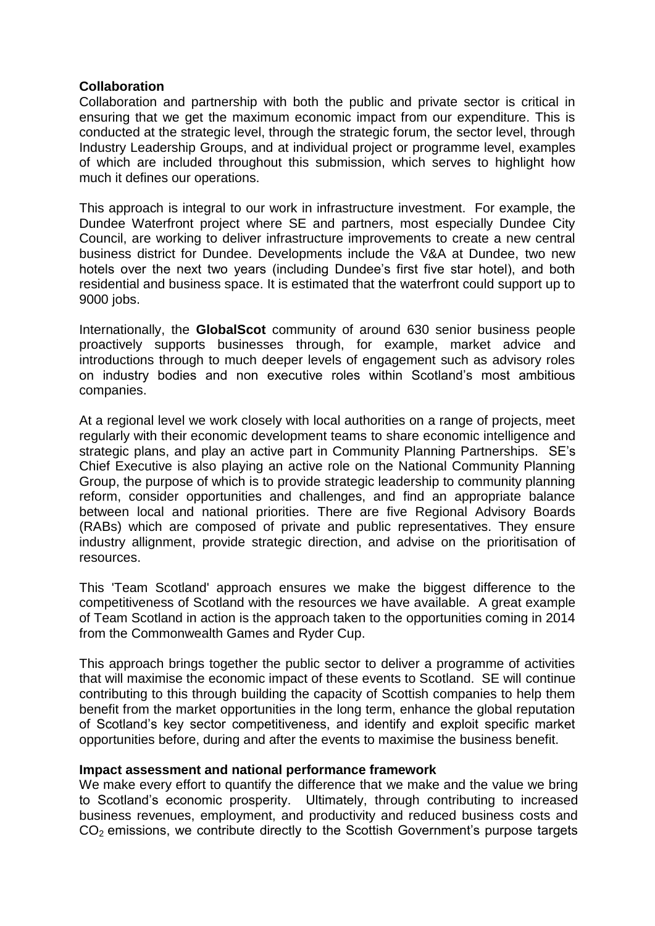#### **Collaboration**

Collaboration and partnership with both the public and private sector is critical in ensuring that we get the maximum economic impact from our expenditure. This is conducted at the strategic level, through the strategic forum, the sector level, through Industry Leadership Groups, and at individual project or programme level, examples of which are included throughout this submission, which serves to highlight how much it defines our operations.

This approach is integral to our work in infrastructure investment. For example, the Dundee Waterfront project where SE and partners, most especially Dundee City Council, are working to deliver infrastructure improvements to create a new central business district for Dundee. Developments include the V&A at Dundee, two new hotels over the next two years (including Dundee's first five star hotel), and both residential and business space. It is estimated that the waterfront could support up to 9000 jobs.

Internationally, the **GlobalScot** community of around 630 senior business people proactively supports businesses through, for example, market advice and introductions through to much deeper levels of engagement such as advisory roles on industry bodies and non executive roles within Scotland's most ambitious companies.

At a regional level we work closely with local authorities on a range of projects, meet regularly with their economic development teams to share economic intelligence and strategic plans, and play an active part in Community Planning Partnerships. SE's Chief Executive is also playing an active role on the National Community Planning Group, the purpose of which is to provide strategic leadership to community planning reform, consider opportunities and challenges, and find an appropriate balance between local and national priorities. There are five Regional Advisory Boards (RABs) which are composed of private and public representatives. They ensure industry allignment, provide strategic direction, and advise on the prioritisation of resources.

This 'Team Scotland' approach ensures we make the biggest difference to the competitiveness of Scotland with the resources we have available. A great example of Team Scotland in action is the approach taken to the opportunities coming in 2014 from the Commonwealth Games and Ryder Cup.

This approach brings together the public sector to deliver a programme of activities that will maximise the economic impact of these events to Scotland. SE will continue contributing to this through building the capacity of Scottish companies to help them benefit from the market opportunities in the long term, enhance the global reputation of Scotland's key sector competitiveness, and identify and exploit specific market opportunities before, during and after the events to maximise the business benefit.

## **Impact assessment and national performance framework**

We make every effort to quantify the difference that we make and the value we bring to Scotland's economic prosperity. Ultimately, through contributing to increased business revenues, employment, and productivity and reduced business costs and  $CO<sub>2</sub>$  emissions, we contribute directly to the Scottish Government's purpose targets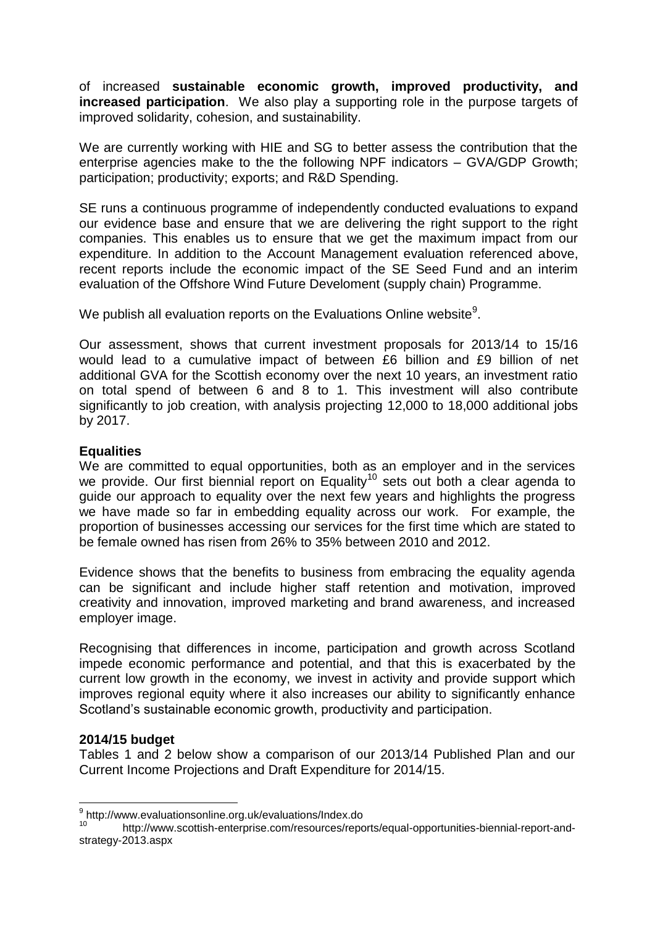of increased **sustainable economic growth, improved productivity, and increased participation**. We also play a supporting role in the purpose targets of improved solidarity, cohesion, and sustainability.

We are currently working with HIE and SG to better assess the contribution that the enterprise agencies make to the the following NPF indicators – GVA/GDP Growth; participation; productivity; exports; and R&D Spending.

SE runs a continuous programme of independently conducted evaluations to expand our evidence base and ensure that we are delivering the right support to the right companies. This enables us to ensure that we get the maximum impact from our expenditure. In addition to the Account Management evaluation referenced above, recent reports include the economic impact of the SE Seed Fund and an interim evaluation of the Offshore Wind Future Develoment (supply chain) Programme.

We publish all evaluation reports on the Evaluations Online website $9$ .

Our assessment, shows that current investment proposals for 2013/14 to 15/16 would lead to a cumulative impact of between £6 billion and £9 billion of net additional GVA for the Scottish economy over the next 10 years, an investment ratio on total spend of between 6 and 8 to 1. This investment will also contribute significantly to job creation, with analysis projecting 12,000 to 18,000 additional jobs by 2017.

## **Equalities**

We are committed to equal opportunities, both as an employer and in the services we provide. Our first biennial report on Equality<sup>10</sup> sets out both a clear agenda to guide our approach to equality over the next few years and highlights the progress we have made so far in embedding equality across our work. For example, the proportion of businesses accessing our services for the first time which are stated to be female owned has risen from 26% to 35% between 2010 and 2012.

Evidence shows that the benefits to business from embracing the equality agenda can be significant and include higher staff retention and motivation, improved creativity and innovation, improved marketing and brand awareness, and increased employer image.

Recognising that differences in income, participation and growth across Scotland impede economic performance and potential, and that this is exacerbated by the current low growth in the economy, we invest in activity and provide support which improves regional equity where it also increases our ability to significantly enhance Scotland's sustainable economic growth, productivity and participation.

## **2014/15 budget**

Tables 1 and 2 below show a comparison of our 2013/14 Published Plan and our Current Income Projections and Draft Expenditure for 2014/15.

 9 http://www.evaluationsonline.org.uk/evaluations/Index.do

<sup>10</sup> http://www.scottish-enterprise.com/resources/reports/equal-opportunities-biennial-report-andstrategy-2013.aspx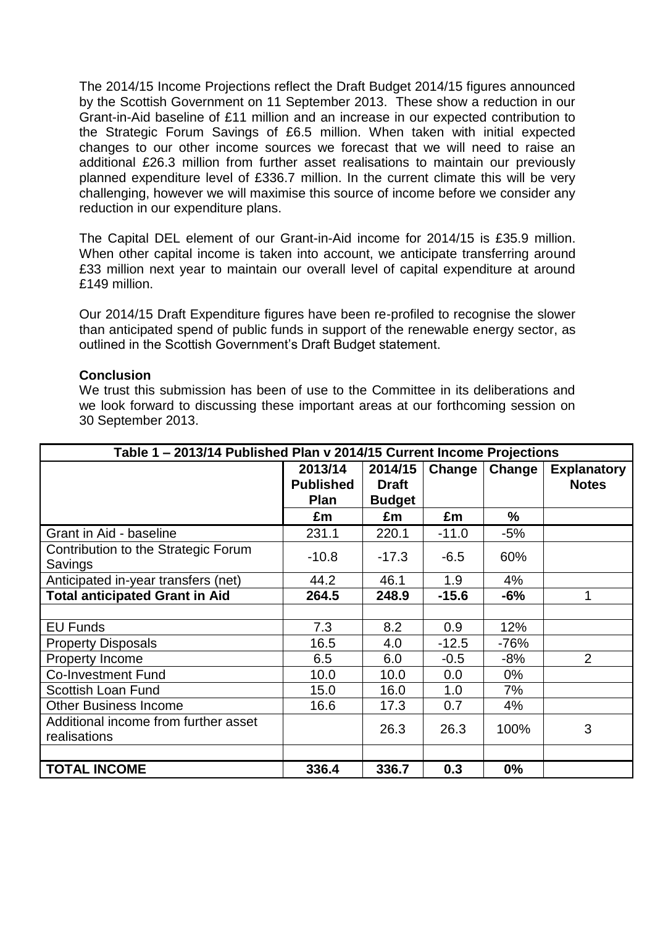The 2014/15 Income Projections reflect the Draft Budget 2014/15 figures announced by the Scottish Government on 11 September 2013. These show a reduction in our Grant-in-Aid baseline of £11 million and an increase in our expected contribution to the Strategic Forum Savings of £6.5 million. When taken with initial expected changes to our other income sources we forecast that we will need to raise an additional £26.3 million from further asset realisations to maintain our previously planned expenditure level of £336.7 million. In the current climate this will be very challenging, however we will maximise this source of income before we consider any reduction in our expenditure plans.

The Capital DEL element of our Grant-in-Aid income for 2014/15 is £35.9 million. When other capital income is taken into account, we anticipate transferring around £33 million next year to maintain our overall level of capital expenditure at around £149 million.

Our 2014/15 Draft Expenditure figures have been re-profiled to recognise the slower than anticipated spend of public funds in support of the renewable energy sector, as outlined in the Scottish Government's Draft Budget statement.

## **Conclusion**

We trust this submission has been of use to the Committee in its deliberations and we look forward to discussing these important areas at our forthcoming session on 30 September 2013.

|                                       | Table 1 - 2013/14 Published Plan v 2014/15 Current Income Projections |               |         |        |                    |  |  |  |  |  |  |  |
|---------------------------------------|-----------------------------------------------------------------------|---------------|---------|--------|--------------------|--|--|--|--|--|--|--|
|                                       | 2013/14                                                               | 2014/15       | Change  | Change | <b>Explanatory</b> |  |  |  |  |  |  |  |
|                                       | <b>Published</b>                                                      | <b>Draft</b>  |         |        | <b>Notes</b>       |  |  |  |  |  |  |  |
|                                       | <b>Plan</b>                                                           | <b>Budget</b> |         |        |                    |  |  |  |  |  |  |  |
|                                       | £m                                                                    | £m            | £m      | %      |                    |  |  |  |  |  |  |  |
| Grant in Aid - baseline               | 231.1                                                                 | 220.1         | $-11.0$ | $-5%$  |                    |  |  |  |  |  |  |  |
| Contribution to the Strategic Forum   | $-10.8$                                                               | $-17.3$       | $-6.5$  | 60%    |                    |  |  |  |  |  |  |  |
| Savings                               |                                                                       |               |         |        |                    |  |  |  |  |  |  |  |
| Anticipated in-year transfers (net)   | 44.2                                                                  | 46.1          | 1.9     | 4%     |                    |  |  |  |  |  |  |  |
| <b>Total anticipated Grant in Aid</b> | 264.5                                                                 | 248.9         | $-15.6$ | $-6%$  |                    |  |  |  |  |  |  |  |
|                                       |                                                                       |               |         |        |                    |  |  |  |  |  |  |  |
| <b>EU Funds</b>                       | 7.3                                                                   | 8.2           | 0.9     | 12%    |                    |  |  |  |  |  |  |  |
| <b>Property Disposals</b>             | 16.5                                                                  | 4.0           | $-12.5$ | $-76%$ |                    |  |  |  |  |  |  |  |
| Property Income                       | 6.5                                                                   | 6.0           | $-0.5$  | $-8%$  | $\overline{2}$     |  |  |  |  |  |  |  |
| <b>Co-Investment Fund</b>             | 10.0                                                                  | 10.0          | 0.0     | $0\%$  |                    |  |  |  |  |  |  |  |
| <b>Scottish Loan Fund</b>             | 15.0                                                                  | 16.0          | 1.0     | 7%     |                    |  |  |  |  |  |  |  |
| <b>Other Business Income</b>          | 16.6                                                                  | 17.3          | 0.7     | 4%     |                    |  |  |  |  |  |  |  |
| Additional income from further asset  |                                                                       |               |         |        | 3                  |  |  |  |  |  |  |  |
| realisations                          |                                                                       | 26.3          | 26.3    | 100%   |                    |  |  |  |  |  |  |  |
|                                       |                                                                       |               |         |        |                    |  |  |  |  |  |  |  |
| <b>TOTAL INCOME</b>                   | 336.4                                                                 | 336.7         | 0.3     | 0%     |                    |  |  |  |  |  |  |  |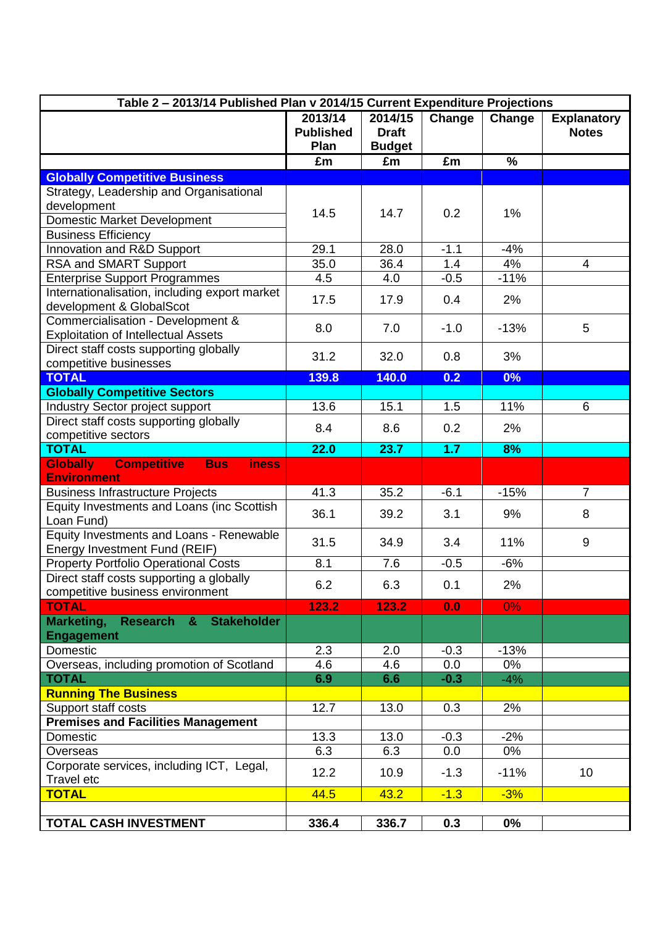| Table 2 - 2013/14 Published Plan v 2014/15 Current Expenditure Projections                |                                     |                                          |        |        |                                    |
|-------------------------------------------------------------------------------------------|-------------------------------------|------------------------------------------|--------|--------|------------------------------------|
|                                                                                           | 2013/14<br><b>Published</b><br>Plan | 2014/15<br><b>Draft</b><br><b>Budget</b> | Change | Change | <b>Explanatory</b><br><b>Notes</b> |
|                                                                                           | £m                                  | £m                                       | £m     | %      |                                    |
| <b>Globally Competitive Business</b>                                                      |                                     |                                          |        |        |                                    |
| Strategy, Leadership and Organisational                                                   |                                     |                                          |        |        |                                    |
| development                                                                               |                                     |                                          |        |        |                                    |
| Domestic Market Development                                                               | 14.5                                | 14.7                                     | 0.2    | 1%     |                                    |
| <b>Business Efficiency</b>                                                                |                                     |                                          |        |        |                                    |
| Innovation and R&D Support                                                                | 29.1                                | 28.0                                     | $-1.1$ | $-4%$  |                                    |
| RSA and SMART Support                                                                     | 35.0                                | 36.4                                     | 1.4    | 4%     | $\overline{4}$                     |
| <b>Enterprise Support Programmes</b>                                                      | 4.5                                 | 4.0                                      | $-0.5$ | $-11%$ |                                    |
| Internationalisation, including export market                                             |                                     |                                          |        |        |                                    |
| development & GlobalScot                                                                  | 17.5                                | 17.9                                     | 0.4    | 2%     |                                    |
| Commercialisation - Development &                                                         | 8.0                                 | 7.0                                      | $-1.0$ | $-13%$ | 5                                  |
| <b>Exploitation of Intellectual Assets</b>                                                |                                     |                                          |        |        |                                    |
| Direct staff costs supporting globally                                                    | 31.2                                | 32.0                                     | 0.8    | 3%     |                                    |
| competitive businesses                                                                    |                                     |                                          |        |        |                                    |
| <b>TOTAL</b>                                                                              | 139.8                               | 140.0                                    | 0.2    | 0%     |                                    |
| <b>Globally Competitive Sectors</b>                                                       |                                     |                                          |        |        |                                    |
| Industry Sector project support                                                           | 13.6                                | 15.1                                     | 1.5    | 11%    | 6                                  |
| Direct staff costs supporting globally                                                    | 8.4                                 | 8.6                                      | 0.2    | 2%     |                                    |
| competitive sectors                                                                       |                                     |                                          |        |        |                                    |
| <b>TOTAL</b>                                                                              | 22.0                                | 23.7                                     | 1.7    | 8%     |                                    |
| <b>Competitive</b><br><b>Globally</b><br><b>Bus</b><br><b>iness</b><br><b>Environment</b> |                                     |                                          |        |        |                                    |
| <b>Business Infrastructure Projects</b>                                                   | 41.3                                | 35.2                                     | $-6.1$ | $-15%$ | $\overline{7}$                     |
| Equity Investments and Loans (inc Scottish                                                |                                     |                                          |        |        |                                    |
| Loan Fund)                                                                                | 36.1                                | 39.2                                     | 3.1    | 9%     | 8                                  |
| Equity Investments and Loans - Renewable                                                  | 31.5                                | 34.9                                     | 3.4    | 11%    | 9                                  |
| Energy Investment Fund (REIF)                                                             |                                     |                                          |        |        |                                    |
| <b>Property Portfolio Operational Costs</b>                                               | 8.1                                 | 7.6                                      | $-0.5$ | $-6%$  |                                    |
| Direct staff costs supporting a globally                                                  | 6.2                                 | 6.3                                      | 0.1    | 2%     |                                    |
| competitive business environment                                                          |                                     |                                          |        |        |                                    |
| <b>TOTAL</b>                                                                              | 123.2                               | 123.2                                    | 0.0    | $0\%$  |                                    |
| Marketing, Research & Stakeholder                                                         |                                     |                                          |        |        |                                    |
| <b>Engagement</b>                                                                         |                                     |                                          |        |        |                                    |
| Domestic                                                                                  | 2.3                                 | 2.0                                      | $-0.3$ | $-13%$ |                                    |
| Overseas, including promotion of Scotland                                                 | 4.6                                 | 4.6                                      | 0.0    | 0%     |                                    |
| <b>TOTAL</b>                                                                              | 6.9                                 | 6.6                                      | $-0.3$ | $-4%$  |                                    |
| <b>Running The Business</b>                                                               |                                     |                                          |        |        |                                    |
| Support staff costs                                                                       | 12.7                                | 13.0                                     | 0.3    | 2%     |                                    |
| <b>Premises and Facilities Management</b>                                                 |                                     |                                          |        |        |                                    |
| Domestic                                                                                  | 13.3                                | 13.0                                     | $-0.3$ | $-2%$  |                                    |
| Overseas                                                                                  | 6.3                                 | 6.3                                      | 0.0    | 0%     |                                    |
| Corporate services, including ICT, Legal,<br>Travel etc                                   | 12.2                                | 10.9                                     | $-1.3$ | $-11%$ | 10 <sup>1</sup>                    |
| <b>TOTAL</b>                                                                              | 44.5                                | 43.2                                     | $-1.3$ | $-3%$  |                                    |
|                                                                                           |                                     |                                          |        |        |                                    |
| <b>TOTAL CASH INVESTMENT</b>                                                              | 336.4                               | 336.7                                    | 0.3    | $0\%$  |                                    |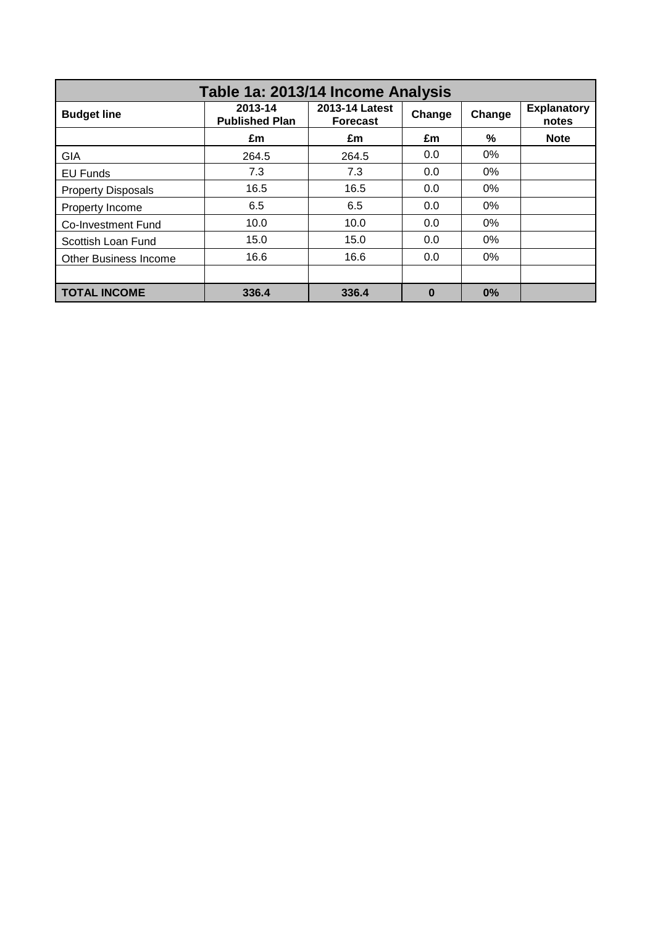| Table 1a: 2013/14 Income Analysis |                                  |                                   |          |        |                             |  |  |  |  |  |  |  |
|-----------------------------------|----------------------------------|-----------------------------------|----------|--------|-----------------------------|--|--|--|--|--|--|--|
| <b>Budget line</b>                | 2013-14<br><b>Published Plan</b> | 2013-14 Latest<br><b>Forecast</b> | Change   | Change | <b>Explanatory</b><br>notes |  |  |  |  |  |  |  |
|                                   | £m                               | £m                                | £m       | %      | <b>Note</b>                 |  |  |  |  |  |  |  |
| <b>GIA</b>                        | 264.5                            | 264.5                             | 0.0      | $0\%$  |                             |  |  |  |  |  |  |  |
| EU Funds                          | 7.3                              | 7.3                               | 0.0      | $0\%$  |                             |  |  |  |  |  |  |  |
| <b>Property Disposals</b>         | 16.5                             | 16.5                              | 0.0      | $0\%$  |                             |  |  |  |  |  |  |  |
| Property Income                   | 6.5                              | 6.5                               | 0.0      | 0%     |                             |  |  |  |  |  |  |  |
| Co-Investment Fund                | 10.0                             | 10.0                              | 0.0      | $0\%$  |                             |  |  |  |  |  |  |  |
| Scottish Loan Fund                | 15.0                             | 15.0                              | 0.0      | $0\%$  |                             |  |  |  |  |  |  |  |
| <b>Other Business Income</b>      | 16.6                             | 16.6                              | 0.0      | $0\%$  |                             |  |  |  |  |  |  |  |
|                                   |                                  |                                   |          |        |                             |  |  |  |  |  |  |  |
| <b>TOTAL INCOME</b>               | 336.4                            | 336.4                             | $\bf{0}$ | 0%     |                             |  |  |  |  |  |  |  |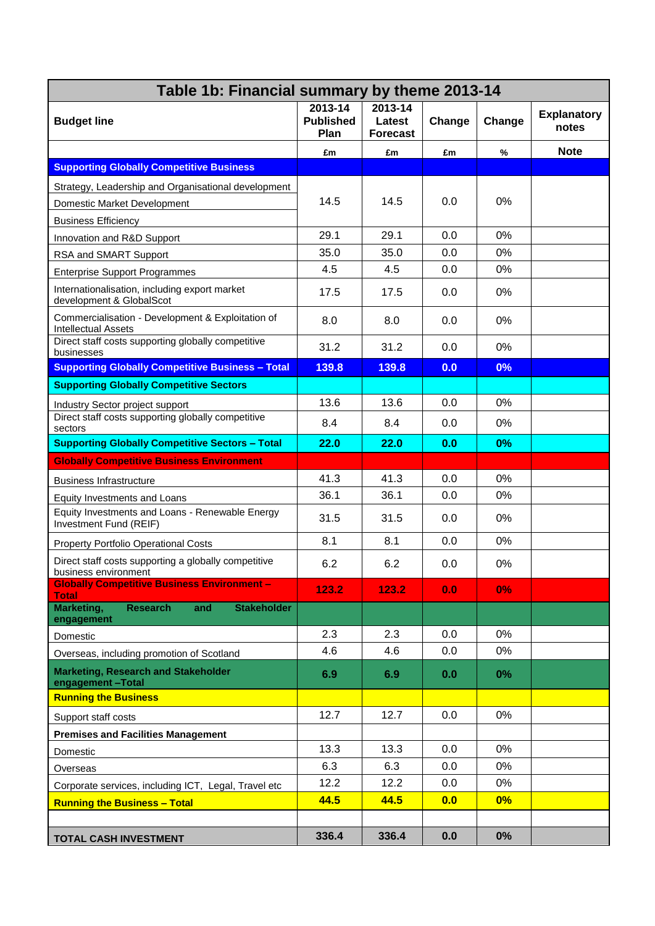|                                                                                 | Table 1b: Financial summary by theme 2013-14 |                                      |        |        |                             |  |  |  |
|---------------------------------------------------------------------------------|----------------------------------------------|--------------------------------------|--------|--------|-----------------------------|--|--|--|
| <b>Budget line</b>                                                              | 2013-14<br><b>Published</b><br>Plan          | 2013-14<br>Latest<br><b>Forecast</b> | Change | Change | <b>Explanatory</b><br>notes |  |  |  |
|                                                                                 | £m                                           | £m                                   | £m     | %      | <b>Note</b>                 |  |  |  |
| <b>Supporting Globally Competitive Business</b>                                 |                                              |                                      |        |        |                             |  |  |  |
| Strategy, Leadership and Organisational development                             |                                              |                                      |        |        |                             |  |  |  |
| Domestic Market Development                                                     | 14.5                                         | 14.5                                 | 0.0    | 0%     |                             |  |  |  |
| <b>Business Efficiency</b>                                                      |                                              |                                      |        |        |                             |  |  |  |
| Innovation and R&D Support                                                      | 29.1                                         | 29.1                                 | 0.0    | 0%     |                             |  |  |  |
| RSA and SMART Support                                                           | 35.0                                         | 35.0                                 | 0.0    | 0%     |                             |  |  |  |
| <b>Enterprise Support Programmes</b>                                            | 4.5                                          | 4.5                                  | 0.0    | $0\%$  |                             |  |  |  |
| Internationalisation, including export market<br>development & GlobalScot       | 17.5                                         | 17.5                                 | 0.0    | $0\%$  |                             |  |  |  |
| Commercialisation - Development & Exploitation of<br><b>Intellectual Assets</b> | 8.0                                          | 8.0                                  | 0.0    | $0\%$  |                             |  |  |  |
| Direct staff costs supporting globally competitive<br>businesses                | 31.2                                         | 31.2                                 | 0.0    | $0\%$  |                             |  |  |  |
| <b>Supporting Globally Competitive Business - Total</b>                         | 139.8                                        | 139.8                                | 0.0    | 0%     |                             |  |  |  |
| <b>Supporting Globally Competitive Sectors</b>                                  |                                              |                                      |        |        |                             |  |  |  |
| Industry Sector project support                                                 | 13.6                                         | 13.6                                 | 0.0    | $0\%$  |                             |  |  |  |
| Direct staff costs supporting globally competitive<br>sectors                   | 8.4                                          | 8.4                                  | 0.0    | $0\%$  |                             |  |  |  |
| <b>Supporting Globally Competitive Sectors - Total</b>                          | 22.0                                         | 22.0                                 | 0.0    | 0%     |                             |  |  |  |
| <b>Globally Competitive Business Environment</b>                                |                                              |                                      |        |        |                             |  |  |  |
| <b>Business Infrastructure</b>                                                  | 41.3                                         | 41.3                                 | 0.0    | 0%     |                             |  |  |  |
| Equity Investments and Loans                                                    | 36.1                                         | 36.1                                 | 0.0    | 0%     |                             |  |  |  |
| Equity Investments and Loans - Renewable Energy<br>Investment Fund (REIF)       | 31.5                                         | 31.5                                 | 0.0    | $0\%$  |                             |  |  |  |
| Property Portfolio Operational Costs                                            | 8.1                                          | 8.1                                  | 0.0    | 0%     |                             |  |  |  |
| Direct staff costs supporting a globally competitive<br>business environment    | 6.2                                          | 6.2                                  | 0.0    | 0%     |                             |  |  |  |
| <b>Globally Competitive Business Environment -</b><br><b>Total</b>              | 123.2                                        | 123.2                                | 0.0    | 0%     |                             |  |  |  |
| Marketing,<br><b>Research</b><br><b>Stakeholder</b><br>and<br>engagement        |                                              |                                      |        |        |                             |  |  |  |
| Domestic                                                                        | 2.3                                          | 2.3                                  | 0.0    | 0%     |                             |  |  |  |
| Overseas, including promotion of Scotland                                       | 4.6                                          | 4.6                                  | 0.0    | 0%     |                             |  |  |  |
| <b>Marketing, Research and Stakeholder</b><br>engagement-Total                  | 6.9                                          | 6.9                                  | 0.0    | $0\%$  |                             |  |  |  |
| <b>Running the Business</b>                                                     |                                              |                                      |        |        |                             |  |  |  |
| Support staff costs                                                             | 12.7                                         | 12.7                                 | 0.0    | 0%     |                             |  |  |  |
| <b>Premises and Facilities Management</b>                                       |                                              |                                      |        |        |                             |  |  |  |
| Domestic                                                                        | 13.3                                         | 13.3                                 | 0.0    | 0%     |                             |  |  |  |
| Overseas                                                                        | 6.3                                          | 6.3                                  | 0.0    | 0%     |                             |  |  |  |
| Corporate services, including ICT, Legal, Travel etc                            | 12.2                                         | 12.2                                 | 0.0    | 0%     |                             |  |  |  |
| <b>Running the Business - Total</b>                                             | 44.5                                         | 44.5                                 | 0.0    | $0\%$  |                             |  |  |  |
|                                                                                 |                                              |                                      |        |        |                             |  |  |  |
| <b>TOTAL CASH INVESTMENT</b>                                                    | 336.4                                        | 336.4                                | 0.0    | 0%     |                             |  |  |  |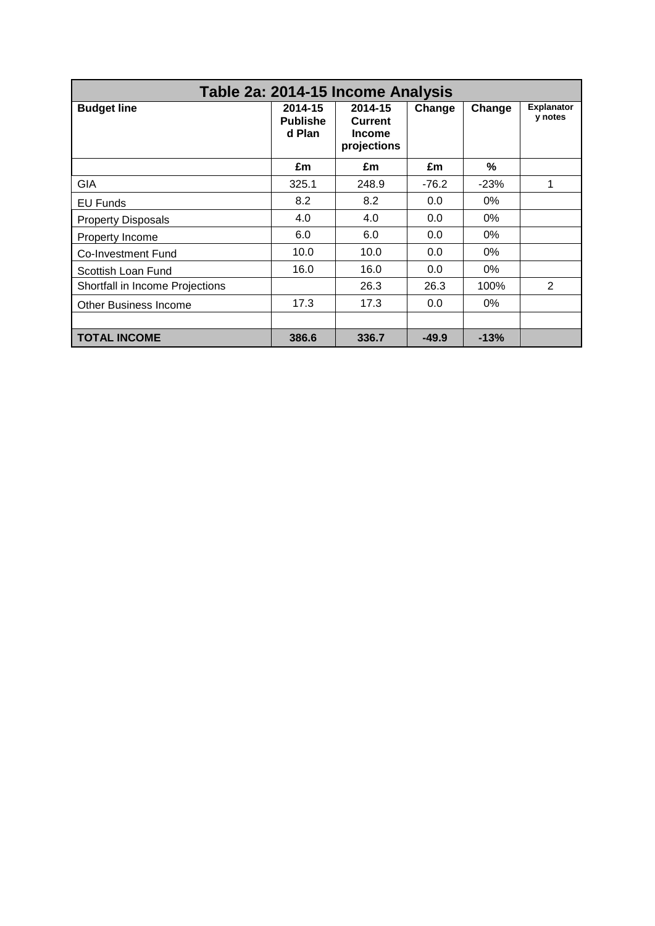| Table 2a: 2014-15 Income Analysis |                                      |                                                    |         |        |                              |  |  |  |  |  |  |  |
|-----------------------------------|--------------------------------------|----------------------------------------------------|---------|--------|------------------------------|--|--|--|--|--|--|--|
| <b>Budget line</b>                | 2014-15<br><b>Publishe</b><br>d Plan | 2014-15<br>Current<br><b>Income</b><br>projections | Change  | Change | <b>Explanator</b><br>y notes |  |  |  |  |  |  |  |
|                                   | £m                                   | £m                                                 | £m      | %      |                              |  |  |  |  |  |  |  |
| GIA                               | 325.1                                | 248.9                                              | $-76.2$ | $-23%$ | 1                            |  |  |  |  |  |  |  |
| <b>EU Funds</b>                   | 8.2                                  | 8.2                                                | 0.0     | 0%     |                              |  |  |  |  |  |  |  |
| <b>Property Disposals</b>         | 4.0                                  | 4.0                                                | 0.0     | $0\%$  |                              |  |  |  |  |  |  |  |
| Property Income                   | 6.0                                  | 6.0                                                | 0.0     | 0%     |                              |  |  |  |  |  |  |  |
| <b>Co-Investment Fund</b>         | 10.0                                 | 10.0                                               | 0.0     | 0%     |                              |  |  |  |  |  |  |  |
| Scottish Loan Fund                | 16.0                                 | 16.0                                               | 0.0     | $0\%$  |                              |  |  |  |  |  |  |  |
| Shortfall in Income Projections   |                                      | 26.3                                               | 26.3    | 100%   | $\overline{2}$               |  |  |  |  |  |  |  |
| <b>Other Business Income</b>      | 17.3                                 | 17.3                                               | 0.0     | 0%     |                              |  |  |  |  |  |  |  |
|                                   |                                      |                                                    |         |        |                              |  |  |  |  |  |  |  |
| <b>TOTAL INCOME</b>               | 386.6                                | 336.7                                              | $-49.9$ | $-13%$ |                              |  |  |  |  |  |  |  |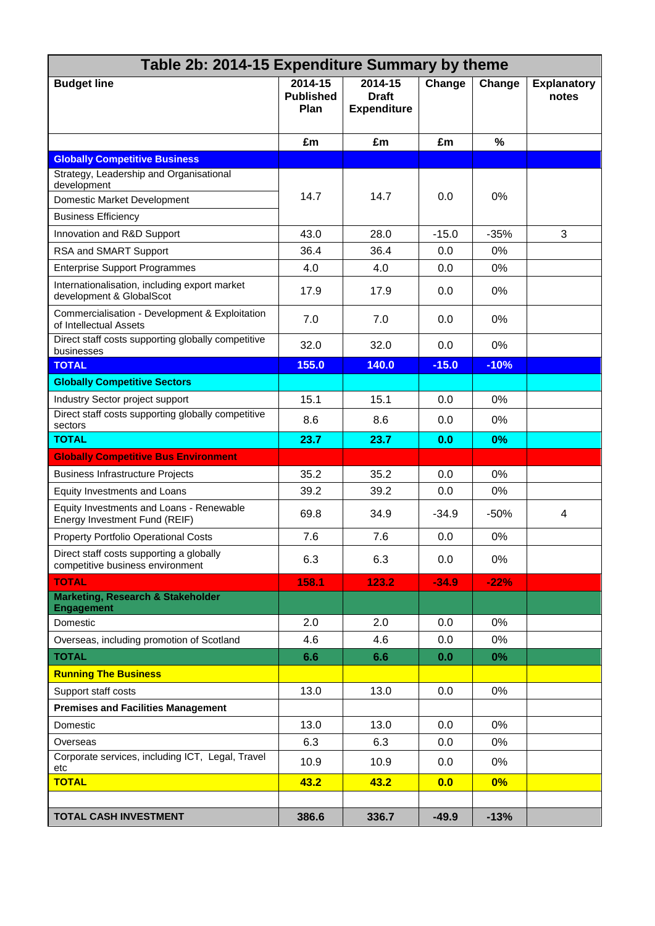| Table 2b: 2014-15 Expenditure Summary by theme                               |                                     |                                               |         |        |                             |
|------------------------------------------------------------------------------|-------------------------------------|-----------------------------------------------|---------|--------|-----------------------------|
| <b>Budget line</b>                                                           | 2014-15<br><b>Published</b><br>Plan | 2014-15<br><b>Draft</b><br><b>Expenditure</b> | Change  | Change | <b>Explanatory</b><br>notes |
|                                                                              | £m                                  | £m                                            | £m      | $\%$   |                             |
| <b>Globally Competitive Business</b>                                         |                                     |                                               |         |        |                             |
| Strategy, Leadership and Organisational                                      |                                     |                                               |         |        |                             |
| development<br>Domestic Market Development                                   | 14.7                                | 14.7                                          | 0.0     | 0%     |                             |
| <b>Business Efficiency</b>                                                   |                                     |                                               |         |        |                             |
| Innovation and R&D Support                                                   | 43.0                                | 28.0                                          | $-15.0$ | $-35%$ | 3                           |
| RSA and SMART Support                                                        | 36.4                                | 36.4                                          | 0.0     | 0%     |                             |
| <b>Enterprise Support Programmes</b>                                         | 4.0                                 | 4.0                                           | 0.0     | 0%     |                             |
| Internationalisation, including export market<br>development & GlobalScot    | 17.9                                | 17.9                                          | 0.0     | 0%     |                             |
| Commercialisation - Development & Exploitation<br>of Intellectual Assets     | 7.0                                 | 7.0                                           | 0.0     | 0%     |                             |
| Direct staff costs supporting globally competitive<br>businesses             | 32.0                                | 32.0                                          | 0.0     | 0%     |                             |
| <b>TOTAL</b>                                                                 | 155.0                               | 140.0                                         | $-15.0$ | $-10%$ |                             |
| <b>Globally Competitive Sectors</b>                                          |                                     |                                               |         |        |                             |
| Industry Sector project support                                              | 15.1                                | 15.1                                          | 0.0     | 0%     |                             |
| Direct staff costs supporting globally competitive<br>sectors                | 8.6                                 | 8.6                                           | 0.0     | 0%     |                             |
| <b>TOTAL</b>                                                                 | 23.7                                | 23.7                                          | 0.0     | 0%     |                             |
| <b>Globally Competitive Bus Environment</b>                                  |                                     |                                               |         |        |                             |
| <b>Business Infrastructure Projects</b>                                      | 35.2                                | 35.2                                          | 0.0     | 0%     |                             |
| Equity Investments and Loans                                                 | 39.2                                | 39.2                                          | 0.0     | 0%     |                             |
| Equity Investments and Loans - Renewable<br>Energy Investment Fund (REIF)    | 69.8                                | 34.9                                          | $-34.9$ | $-50%$ | 4                           |
| <b>Property Portfolio Operational Costs</b>                                  | 7.6                                 | 7.6                                           | 0.0     | 0%     |                             |
| Direct staff costs supporting a globally<br>competitive business environment | 6.3                                 | 6.3                                           | 0.0     | 0%     |                             |
| <b>TOTAL</b>                                                                 | 158.1                               | 123.2                                         | $-34.9$ | $-22%$ |                             |
| <b>Marketing, Research &amp; Stakeholder</b><br><b>Engagement</b>            |                                     |                                               |         |        |                             |
| Domestic                                                                     | 2.0                                 | 2.0                                           | 0.0     | 0%     |                             |
| Overseas, including promotion of Scotland                                    | 4.6                                 | 4.6                                           | 0.0     | 0%     |                             |
| <b>TOTAL</b>                                                                 | 6.6                                 | 6.6                                           | 0.0     | $0\%$  |                             |
| <b>Running The Business</b>                                                  |                                     |                                               |         |        |                             |
| Support staff costs                                                          | 13.0                                | 13.0                                          | 0.0     | 0%     |                             |
| <b>Premises and Facilities Management</b>                                    |                                     |                                               |         |        |                             |
| Domestic                                                                     | 13.0                                | 13.0                                          | 0.0     | 0%     |                             |
| Overseas                                                                     | 6.3                                 | 6.3                                           | 0.0     | 0%     |                             |
| Corporate services, including ICT, Legal, Travel<br>etc                      | 10.9                                | 10.9                                          | 0.0     | 0%     |                             |
| <b>TOTAL</b>                                                                 | 43.2                                | 43.2                                          | 0.0     | 0%     |                             |
|                                                                              |                                     |                                               |         |        |                             |
| <b>TOTAL CASH INVESTMENT</b>                                                 | 386.6                               | 336.7                                         | $-49.9$ | $-13%$ |                             |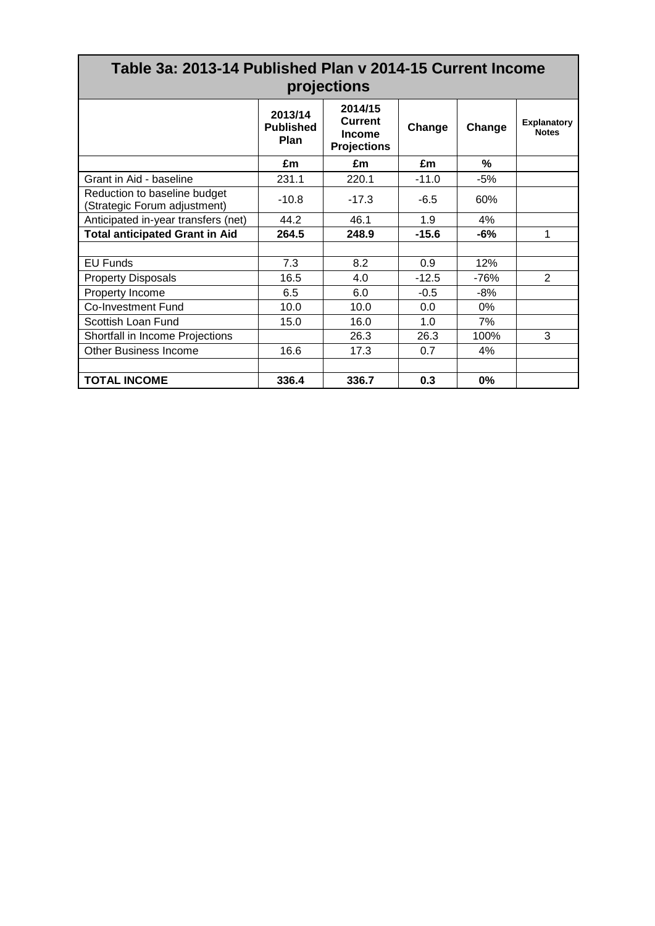|                                                              | Table 3a: 2013-14 Published Plan y 2014-15 Current Income<br>projections |                                                           |         |        |                                    |  |  |  |  |  |  |  |  |
|--------------------------------------------------------------|--------------------------------------------------------------------------|-----------------------------------------------------------|---------|--------|------------------------------------|--|--|--|--|--|--|--|--|
|                                                              | 2013/14<br><b>Published</b><br>Plan                                      | 2014/15<br><b>Current</b><br>Income<br><b>Projections</b> | Change  | Change | <b>Explanatory</b><br><b>Notes</b> |  |  |  |  |  |  |  |  |
|                                                              | £m                                                                       | £m                                                        | £m      | $\%$   |                                    |  |  |  |  |  |  |  |  |
| Grant in Aid - baseline                                      | 231.1                                                                    | 220.1                                                     | $-11.0$ | -5%    |                                    |  |  |  |  |  |  |  |  |
| Reduction to baseline budget<br>(Strategic Forum adjustment) | $-10.8$                                                                  | $-17.3$                                                   | $-6.5$  | 60%    |                                    |  |  |  |  |  |  |  |  |
| Anticipated in-year transfers (net)                          | 44.2                                                                     | 46.1                                                      | 1.9     | 4%     |                                    |  |  |  |  |  |  |  |  |
| <b>Total anticipated Grant in Aid</b>                        | 264.5                                                                    | 248.9                                                     | $-15.6$ | $-6%$  | 1                                  |  |  |  |  |  |  |  |  |
|                                                              |                                                                          |                                                           |         |        |                                    |  |  |  |  |  |  |  |  |
| <b>EU Funds</b>                                              | 7.3                                                                      | 8.2                                                       | 0.9     | 12%    |                                    |  |  |  |  |  |  |  |  |
| <b>Property Disposals</b>                                    | 16.5                                                                     | 4.0                                                       | $-12.5$ | $-76%$ | 2                                  |  |  |  |  |  |  |  |  |
| Property Income                                              | 6.5                                                                      | 6.0                                                       | $-0.5$  | $-8%$  |                                    |  |  |  |  |  |  |  |  |
| Co-Investment Fund                                           | 10.0                                                                     | 10.0                                                      | 0.0     | $0\%$  |                                    |  |  |  |  |  |  |  |  |
| Scottish Loan Fund                                           | 15.0                                                                     | 16.0                                                      | 1.0     | 7%     |                                    |  |  |  |  |  |  |  |  |
| Shortfall in Income Projections                              |                                                                          | 26.3                                                      | 26.3    | 100%   | 3                                  |  |  |  |  |  |  |  |  |
| <b>Other Business Income</b>                                 | 16.6                                                                     | 17.3                                                      | 0.7     | 4%     |                                    |  |  |  |  |  |  |  |  |
|                                                              |                                                                          |                                                           |         |        |                                    |  |  |  |  |  |  |  |  |
| <b>TOTAL INCOME</b>                                          | 336.4                                                                    | 336.7                                                     | 0.3     | 0%     |                                    |  |  |  |  |  |  |  |  |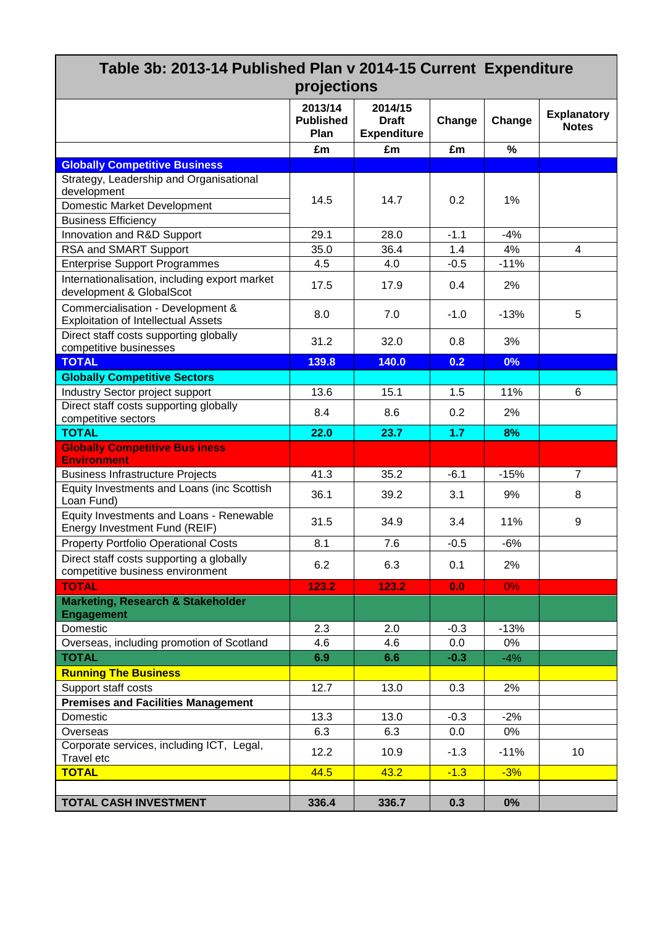| Table 3b: 2013-14 Published Plan v 2014-15 Current Expenditure                  |                                     |                                               |        |        |                                    |
|---------------------------------------------------------------------------------|-------------------------------------|-----------------------------------------------|--------|--------|------------------------------------|
|                                                                                 | projections                         |                                               |        |        |                                    |
|                                                                                 | 2013/14<br><b>Published</b><br>Plan | 2014/15<br><b>Draft</b><br><b>Expenditure</b> | Change | Change | <b>Explanatory</b><br><b>Notes</b> |
|                                                                                 | £m                                  | £m                                            | £m     | $\%$   |                                    |
| <b>Globally Competitive Business</b>                                            |                                     |                                               |        |        |                                    |
| Strategy, Leadership and Organisational                                         |                                     |                                               |        |        |                                    |
| development                                                                     | 14.5                                | 14.7                                          | 0.2    | 1%     |                                    |
| <b>Domestic Market Development</b>                                              |                                     |                                               |        |        |                                    |
| <b>Business Efficiency</b>                                                      |                                     |                                               |        |        |                                    |
| Innovation and R&D Support                                                      | 29.1                                | 28.0                                          | $-1.1$ | $-4%$  |                                    |
| RSA and SMART Support                                                           | 35.0                                | 36.4                                          | 1.4    | 4%     | 4                                  |
| <b>Enterprise Support Programmes</b>                                            | 4.5                                 | 4.0                                           | $-0.5$ | $-11%$ |                                    |
| Internationalisation, including export market<br>development & GlobalScot       | 17.5                                | 17.9                                          | 0.4    | 2%     |                                    |
| Commercialisation - Development &<br><b>Exploitation of Intellectual Assets</b> | 8.0                                 | 7.0                                           | $-1.0$ | $-13%$ | 5                                  |
| Direct staff costs supporting globally<br>competitive businesses                | 31.2                                | 32.0                                          | 0.8    | 3%     |                                    |
| <b>TOTAL</b>                                                                    | 139.8                               | 140.0                                         | 0.2    | 0%     |                                    |
| <b>Globally Competitive Sectors</b>                                             |                                     |                                               |        |        |                                    |
| Industry Sector project support                                                 | 13.6                                | 15.1                                          | 1.5    | 11%    | 6                                  |
| Direct staff costs supporting globally                                          | 8.4                                 | 8.6                                           | 0.2    | 2%     |                                    |
| competitive sectors<br><b>TOTAL</b>                                             | 22.0                                | 23.7                                          | 1.7    | 8%     |                                    |
| <b>Globally Competitive Bus iness</b>                                           |                                     |                                               |        |        |                                    |
| <b>Environment</b>                                                              |                                     |                                               |        |        |                                    |
| <b>Business Infrastructure Projects</b>                                         | 41.3                                | 35.2                                          | $-6.1$ | $-15%$ | $\overline{7}$                     |
| Equity Investments and Loans (inc Scottish<br>Loan Fund)                        | 36.1                                | 39.2                                          | 3.1    | 9%     | 8                                  |
| Equity Investments and Loans - Renewable<br>Energy Investment Fund (REIF)       | 31.5                                | 34.9                                          | 3.4    | 11%    | 9                                  |
| <b>Property Portfolio Operational Costs</b>                                     | 8.1                                 | 7.6                                           | $-0.5$ | -6%    |                                    |
| Direct staff costs supporting a globally                                        | 6.2                                 | 6.3                                           | 0.1    | 2%     |                                    |
| competitive business environment                                                |                                     |                                               |        |        |                                    |
| <b>TOTAL</b>                                                                    | 123.2                               | 123.2                                         | 0.0    | 0%     |                                    |
| <b>Marketing, Research &amp; Stakeholder</b><br><b>Engagement</b>               |                                     |                                               |        |        |                                    |
| Domestic                                                                        | 2.3                                 | 2.0                                           | $-0.3$ | $-13%$ |                                    |
| Overseas, including promotion of Scotland                                       | 4.6                                 | 4.6                                           | 0.0    | 0%     |                                    |
| <b>TOTAL</b>                                                                    | 6.9                                 | 6.6                                           | $-0.3$ | $-4%$  |                                    |
| <b>Running The Business</b>                                                     |                                     |                                               |        |        |                                    |
| Support staff costs                                                             | 12.7                                | 13.0                                          | 0.3    | 2%     |                                    |
| <b>Premises and Facilities Management</b>                                       |                                     |                                               |        |        |                                    |
| Domestic                                                                        | 13.3                                | 13.0                                          | $-0.3$ | $-2%$  |                                    |
| Overseas                                                                        | 6.3                                 | 6.3                                           | 0.0    | 0%     |                                    |
| Corporate services, including ICT, Legal,<br>Travel etc                         | 12.2                                | 10.9                                          | $-1.3$ | $-11%$ | 10                                 |
| <b>TOTAL</b>                                                                    | 44.5                                | 43.2                                          | $-1.3$ | $-3%$  |                                    |
|                                                                                 |                                     |                                               |        |        |                                    |
| <b>TOTAL CASH INVESTMENT</b>                                                    | 336.4                               | 336.7                                         | 0.3    | 0%     |                                    |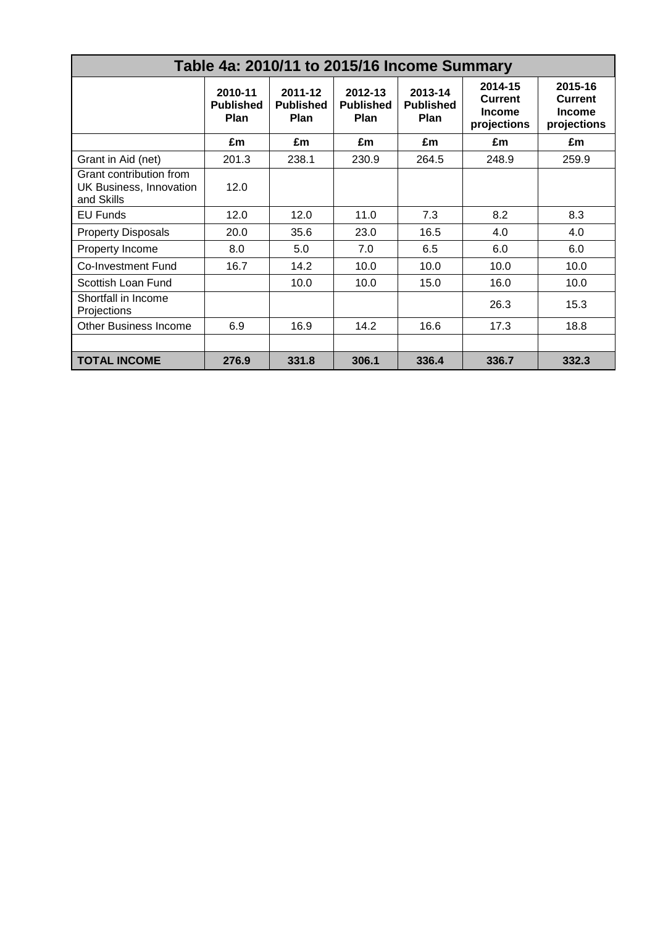| Table 4a: 2010/11 to 2015/16 Income Summary                      |                                     |                                     |                                     |                                     |                                                    |                                                           |  |  |  |  |  |  |  |
|------------------------------------------------------------------|-------------------------------------|-------------------------------------|-------------------------------------|-------------------------------------|----------------------------------------------------|-----------------------------------------------------------|--|--|--|--|--|--|--|
|                                                                  | 2010-11<br><b>Published</b><br>Plan | 2011-12<br><b>Published</b><br>Plan | 2012-13<br><b>Published</b><br>Plan | 2013-14<br><b>Published</b><br>Plan | 2014-15<br>Current<br><b>Income</b><br>projections | 2015-16<br><b>Current</b><br><b>Income</b><br>projections |  |  |  |  |  |  |  |
|                                                                  | £m                                  | £m                                  | £m                                  | £m                                  | £m                                                 | £m                                                        |  |  |  |  |  |  |  |
| Grant in Aid (net)                                               | 201.3                               | 238.1                               | 230.9                               | 264.5                               | 248.9                                              | 259.9                                                     |  |  |  |  |  |  |  |
| Grant contribution from<br>UK Business, Innovation<br>and Skills | 12.0                                |                                     |                                     |                                     |                                                    |                                                           |  |  |  |  |  |  |  |
| <b>EU Funds</b>                                                  | 12.0                                | 12.0                                | 11.0                                | 7.3                                 | 8.2                                                | 8.3                                                       |  |  |  |  |  |  |  |
| <b>Property Disposals</b>                                        | 20.0                                | 35.6                                | 23.0                                | 16.5                                | 4.0                                                | 4.0                                                       |  |  |  |  |  |  |  |
| Property Income                                                  | 8.0                                 | 5.0                                 | 7.0                                 | 6.5                                 | 6.0                                                | 6.0                                                       |  |  |  |  |  |  |  |
| <b>Co-Investment Fund</b>                                        | 16.7                                | 14.2                                | 10.0                                | 10.0                                | 10.0                                               | 10.0                                                      |  |  |  |  |  |  |  |
| Scottish Loan Fund                                               |                                     | 10.0                                | 10.0                                | 15.0                                | 16.0                                               | 10.0                                                      |  |  |  |  |  |  |  |
| Shortfall in Income<br>Projections                               |                                     |                                     |                                     |                                     | 26.3                                               | 15.3                                                      |  |  |  |  |  |  |  |
| <b>Other Business Income</b>                                     | 6.9                                 | 16.9                                | 14.2                                | 16.6                                | 17.3                                               | 18.8                                                      |  |  |  |  |  |  |  |
|                                                                  |                                     |                                     |                                     |                                     |                                                    |                                                           |  |  |  |  |  |  |  |
| <b>TOTAL INCOME</b>                                              | 276.9                               | 331.8                               | 306.1                               | 336.4                               | 336.7                                              | 332.3                                                     |  |  |  |  |  |  |  |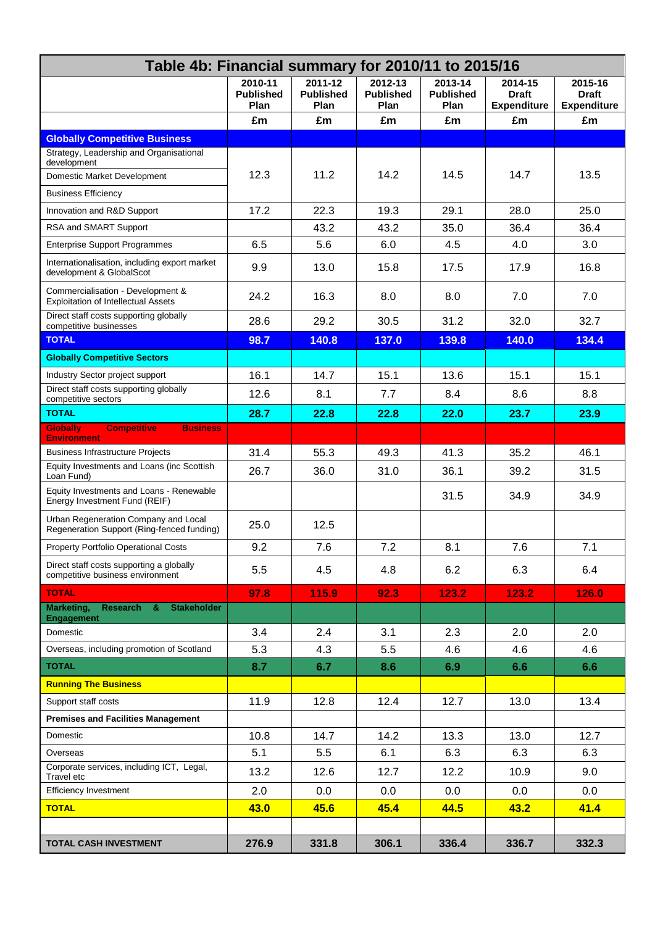| Table 4b: Financial summary for 2010/11 to 2015/16                                 |                                     |                                     |                                     |                                     |                                               |                                               |  |
|------------------------------------------------------------------------------------|-------------------------------------|-------------------------------------|-------------------------------------|-------------------------------------|-----------------------------------------------|-----------------------------------------------|--|
|                                                                                    | 2010-11<br><b>Published</b><br>Plan | 2011-12<br><b>Published</b><br>Plan | 2012-13<br><b>Published</b><br>Plan | 2013-14<br><b>Published</b><br>Plan | 2014-15<br><b>Draft</b><br><b>Expenditure</b> | 2015-16<br><b>Draft</b><br><b>Expenditure</b> |  |
|                                                                                    | £m                                  | £m                                  | £m                                  | £m                                  | £m                                            | £m                                            |  |
| <b>Globally Competitive Business</b>                                               |                                     |                                     |                                     |                                     |                                               |                                               |  |
| Strategy, Leadership and Organisational<br>development                             |                                     |                                     |                                     |                                     |                                               |                                               |  |
| Domestic Market Development                                                        | 12.3                                | 11.2                                | 14.2                                | 14.5                                | 14.7                                          | 13.5                                          |  |
| <b>Business Efficiency</b>                                                         |                                     |                                     |                                     |                                     |                                               |                                               |  |
| Innovation and R&D Support                                                         | 17.2                                | 22.3                                | 19.3                                | 29.1                                | 28.0                                          | 25.0                                          |  |
| RSA and SMART Support                                                              |                                     | 43.2                                | 43.2                                | 35.0                                | 36.4                                          | 36.4                                          |  |
| <b>Enterprise Support Programmes</b>                                               | 6.5                                 | 5.6                                 | 6.0                                 | 4.5                                 | 4.0                                           | 3.0                                           |  |
| Internationalisation, including export market<br>development & GlobalScot          | 9.9                                 | 13.0                                | 15.8                                | 17.5                                | 17.9                                          | 16.8                                          |  |
| Commercialisation - Development &<br><b>Exploitation of Intellectual Assets</b>    | 24.2                                | 16.3                                | 8.0                                 | 8.0                                 | 7.0                                           | 7.0                                           |  |
| Direct staff costs supporting globally<br>competitive businesses                   | 28.6                                | 29.2                                | 30.5                                | 31.2                                | 32.0                                          | 32.7                                          |  |
| <b>TOTAL</b>                                                                       | 98.7                                | 140.8                               | 137.0                               | 139.8                               | 140.0                                         | 134.4                                         |  |
| <b>Globally Competitive Sectors</b>                                                |                                     |                                     |                                     |                                     |                                               |                                               |  |
| Industry Sector project support                                                    | 16.1                                | 14.7                                | 15.1                                | 13.6                                | 15.1                                          | 15.1                                          |  |
| Direct staff costs supporting globally<br>competitive sectors                      | 12.6                                | 8.1                                 | 7.7                                 | 8.4                                 | 8.6                                           | 8.8                                           |  |
| <b>TOTAL</b>                                                                       | 28.7                                | 22.8                                | 22.8                                | 22.0                                | 23.7                                          | 23.9                                          |  |
| <b>Globally</b><br><b>Competitive</b><br><b>Business</b><br><b>Environment</b>     |                                     |                                     |                                     |                                     |                                               |                                               |  |
| <b>Business Infrastructure Projects</b>                                            | 31.4                                | 55.3                                | 49.3                                | 41.3                                | 35.2                                          | 46.1                                          |  |
| Equity Investments and Loans (inc Scottish<br>Loan Fund)                           | 26.7                                | 36.0                                | 31.0                                | 36.1                                | 39.2                                          | 31.5                                          |  |
| Equity Investments and Loans - Renewable<br>Energy Investment Fund (REIF)          |                                     |                                     |                                     | 31.5                                | 34.9                                          | 34.9                                          |  |
| Urban Regeneration Company and Local<br>Regeneration Support (Ring-fenced funding) | 25.0                                | 12.5                                |                                     |                                     |                                               |                                               |  |
| Property Portfolio Operational Costs                                               | 9.2                                 | 7.6                                 | 7.2                                 | 8.1                                 | 7.6                                           | 7.1                                           |  |
| Direct staff costs supporting a globally<br>competitive business environment       | 5.5                                 | 4.5                                 | 4.8                                 | 6.2                                 | 6.3                                           | 6.4                                           |  |
| <b>TOTAL</b>                                                                       | 97.8                                | 115.9                               | 92.3                                | 123.2                               | 123.2                                         | 126.0                                         |  |
| Marketing,<br>Research &<br><b>Stakeholder</b><br><b>Engagement</b>                |                                     |                                     |                                     |                                     |                                               |                                               |  |
| Domestic                                                                           | 3.4                                 | 2.4                                 | 3.1                                 | 2.3                                 | 2.0                                           | 2.0                                           |  |
| Overseas, including promotion of Scotland                                          | 5.3                                 | 4.3                                 | 5.5                                 | 4.6                                 | 4.6                                           | 4.6                                           |  |
| <b>TOTAL</b>                                                                       | 8.7                                 | 6.7                                 | 8.6                                 | 6.9                                 | 6.6                                           | 6.6                                           |  |
| <b>Running The Business</b>                                                        |                                     |                                     |                                     |                                     |                                               |                                               |  |
| Support staff costs                                                                | 11.9                                | 12.8                                | 12.4                                | 12.7                                | 13.0                                          | 13.4                                          |  |
| <b>Premises and Facilities Management</b>                                          |                                     |                                     |                                     |                                     |                                               |                                               |  |
| Domestic                                                                           | 10.8                                | 14.7                                | 14.2                                | 13.3                                | 13.0                                          | 12.7                                          |  |
| Overseas                                                                           | 5.1                                 | 5.5                                 | 6.1                                 | 6.3                                 | 6.3                                           | 6.3                                           |  |
| Corporate services, including ICT, Legal,<br>Travel etc                            | 13.2                                | 12.6                                | 12.7                                | 12.2                                | 10.9                                          | 9.0                                           |  |
| <b>Efficiency Investment</b>                                                       | 2.0                                 | 0.0                                 | 0.0                                 | 0.0                                 | 0.0                                           | 0.0                                           |  |
| <b>TOTAL</b>                                                                       | 43.0                                | 45.6                                | 45.4                                | 44.5                                | 43.2                                          | 41.4                                          |  |
|                                                                                    |                                     |                                     |                                     |                                     |                                               |                                               |  |
| TOTAL CASH INVESTMENT                                                              | 276.9                               | 331.8                               | 306.1                               | 336.4                               | 336.7                                         | 332.3                                         |  |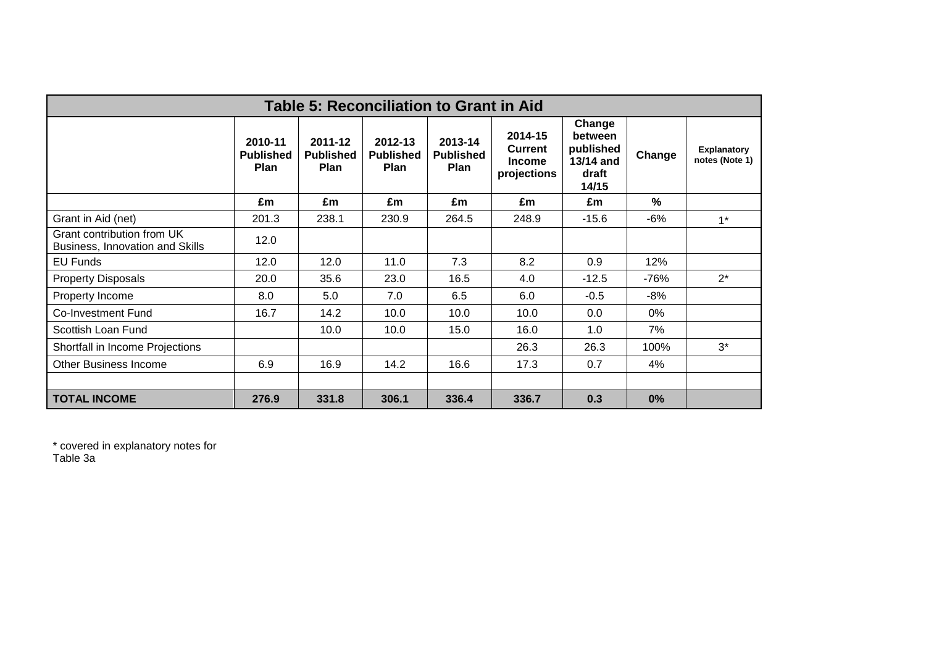| <b>Table 5: Reconciliation to Grant in Aid</b>                |                                     |                                     |                                     |                                     |                                                           |                                                               |        |                                      |  |  |  |  |
|---------------------------------------------------------------|-------------------------------------|-------------------------------------|-------------------------------------|-------------------------------------|-----------------------------------------------------------|---------------------------------------------------------------|--------|--------------------------------------|--|--|--|--|
|                                                               | 2010-11<br><b>Published</b><br>Plan | 2011-12<br><b>Published</b><br>Plan | 2012-13<br><b>Published</b><br>Plan | 2013-14<br><b>Published</b><br>Plan | 2014-15<br><b>Current</b><br><b>Income</b><br>projections | Change<br>between<br>published<br>13/14 and<br>draft<br>14/15 | Change | <b>Explanatory</b><br>notes (Note 1) |  |  |  |  |
|                                                               | £m                                  | £m                                  | £m                                  | £m                                  | £m                                                        | £m                                                            | %      |                                      |  |  |  |  |
| Grant in Aid (net)                                            | 201.3                               | 238.1                               | 230.9                               | 264.5                               | 248.9                                                     | $-15.6$                                                       | $-6%$  | $1*$                                 |  |  |  |  |
| Grant contribution from UK<br>Business, Innovation and Skills | 12.0                                |                                     |                                     |                                     |                                                           |                                                               |        |                                      |  |  |  |  |
| EU Funds                                                      | 12.0                                | 12.0                                | 11.0                                | 7.3                                 | 8.2                                                       | 0.9                                                           | 12%    |                                      |  |  |  |  |
| <b>Property Disposals</b>                                     | 20.0                                | 35.6                                | 23.0                                | 16.5                                | 4.0                                                       | $-12.5$                                                       | $-76%$ | $2^*$                                |  |  |  |  |
| Property Income                                               | 8.0                                 | 5.0                                 | 7.0                                 | 6.5                                 | 6.0                                                       | $-0.5$                                                        | -8%    |                                      |  |  |  |  |
| <b>Co-Investment Fund</b>                                     | 16.7                                | 14.2                                | 10.0                                | 10.0                                | 10.0                                                      | 0.0                                                           | $0\%$  |                                      |  |  |  |  |
| Scottish Loan Fund                                            |                                     | 10.0                                | 10.0                                | 15.0                                | 16.0                                                      | 1.0                                                           | 7%     |                                      |  |  |  |  |
| Shortfall in Income Projections                               |                                     |                                     |                                     |                                     | 26.3                                                      | 26.3                                                          | 100%   | $3^*$                                |  |  |  |  |
| <b>Other Business Income</b>                                  | 6.9                                 | 16.9                                | 14.2                                | 16.6                                | 17.3                                                      | 0.7                                                           | 4%     |                                      |  |  |  |  |
|                                                               |                                     |                                     |                                     |                                     |                                                           |                                                               |        |                                      |  |  |  |  |
| <b>TOTAL INCOME</b>                                           | 276.9                               | 331.8                               | 306.1                               | 336.4                               | 336.7                                                     | 0.3                                                           | 0%     |                                      |  |  |  |  |

\* covered in explanatory notes for

Table 3a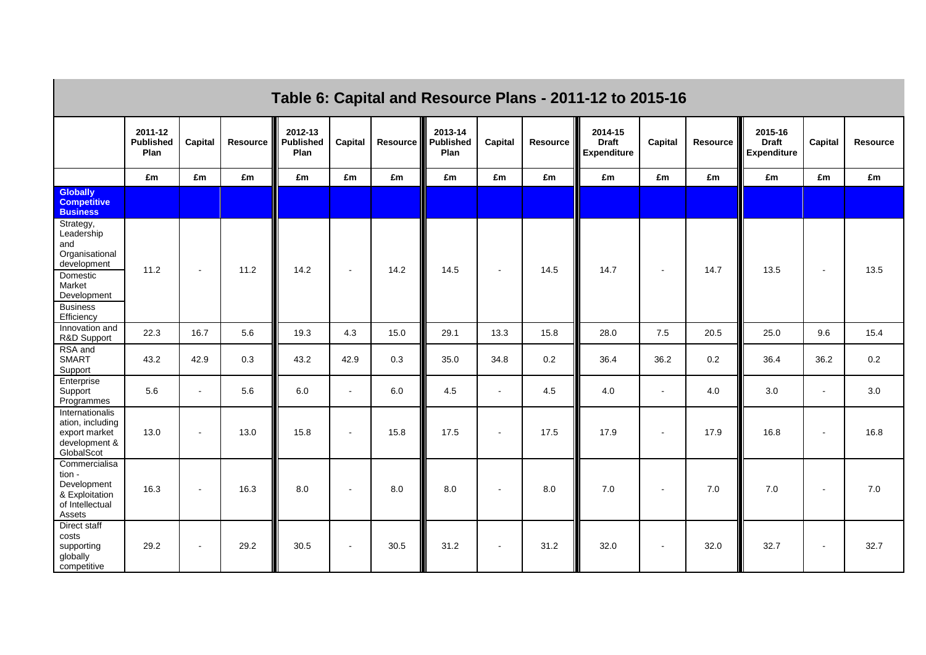|                                                                                                                                       | Table 6: Capital and Resource Plans - 2011-12 to 2015-16 |                |          |                                     |              |          |                                     |                |          |                                               |                          |          |                                               |                          |                 |
|---------------------------------------------------------------------------------------------------------------------------------------|----------------------------------------------------------|----------------|----------|-------------------------------------|--------------|----------|-------------------------------------|----------------|----------|-----------------------------------------------|--------------------------|----------|-----------------------------------------------|--------------------------|-----------------|
|                                                                                                                                       | 2011-12<br><b>Published</b><br>Plan                      | Capital        | Resource | 2012-13<br><b>Published</b><br>Plan | Capital      | Resource | 2013-14<br><b>Published</b><br>Plan | Capital        | Resource | 2014-15<br><b>Draft</b><br><b>Expenditure</b> | Capital                  | Resource | 2015-16<br><b>Draft</b><br><b>Expenditure</b> | Capital                  | <b>Resource</b> |
|                                                                                                                                       | £m                                                       | £m             | £m       | £m                                  | £m           | £m       | £m                                  | £m             | £m       | £m                                            | £m                       | £m       | £m                                            | £m                       | £m              |
| <b>Globally</b><br><b>Competitive</b><br><b>Business</b>                                                                              |                                                          |                |          |                                     |              |          |                                     |                |          |                                               |                          |          |                                               |                          |                 |
| Strategy,<br>Leadership<br>and<br>Organisational<br>development<br>Domestic<br>Market<br>Development<br><b>Business</b><br>Efficiency | 11.2                                                     | $\sim$         | 11.2     | 14.2                                | $\sim$       | 14.2     | 14.5                                | $\sim$         | 14.5     | 14.7                                          | $\sim$                   | 14.7     | 13.5                                          | $\blacksquare$           | 13.5            |
| Innovation and<br>R&D Support                                                                                                         | 22.3                                                     | 16.7           | 5.6      | 19.3                                | 4.3          | 15.0     | 29.1                                | 13.3           | 15.8     | 28.0                                          | 7.5                      | 20.5     | 25.0                                          | 9.6                      | 15.4            |
| RSA and<br><b>SMART</b><br>Support                                                                                                    | 43.2                                                     | 42.9           | 0.3      | 43.2                                | 42.9         | 0.3      | 35.0                                | 34.8           | 0.2      | 36.4                                          | 36.2                     | 0.2      | 36.4                                          | 36.2                     | 0.2             |
| Enterprise<br>Support<br>Programmes                                                                                                   | 5.6                                                      | $\mathbf{r}$   | 5.6      | 6.0                                 | $\mathbf{r}$ | 6.0      | 4.5                                 | $\sim$         | 4.5      | 4.0                                           | $\sim$                   | 4.0      | 3.0                                           | $\overline{\phantom{a}}$ | 3.0             |
| Internationalis<br>ation, including<br>export market<br>development &<br>GlobalScot                                                   | 13.0                                                     | $\blacksquare$ | 13.0     | 15.8                                | $\sim$       | 15.8     | 17.5                                | $\blacksquare$ | 17.5     | 17.9                                          | $\blacksquare$           | 17.9     | 16.8                                          | $\blacksquare$           | 16.8            |
| Commercialisa<br>tion -<br>Development<br>& Exploitation<br>of Intellectual<br>Assets                                                 | 16.3                                                     | $\mathbf{r}$   | 16.3     | 8.0                                 | $\sim$       | 8.0      | 8.0                                 | $\overline{a}$ | 8.0      | 7.0                                           | $\sim$                   | 7.0      | $7.0$                                         | $\overline{\phantom{a}}$ | 7.0             |
| Direct staff<br>costs<br>supporting<br>globally<br>competitive                                                                        | 29.2                                                     | $\blacksquare$ | 29.2     | 30.5                                | $\sim$       | 30.5     | 31.2                                | $\sim$         | 31.2     | 32.0                                          | $\overline{\phantom{a}}$ | 32.0     | 32.7                                          | $\overline{\phantom{a}}$ | 32.7            |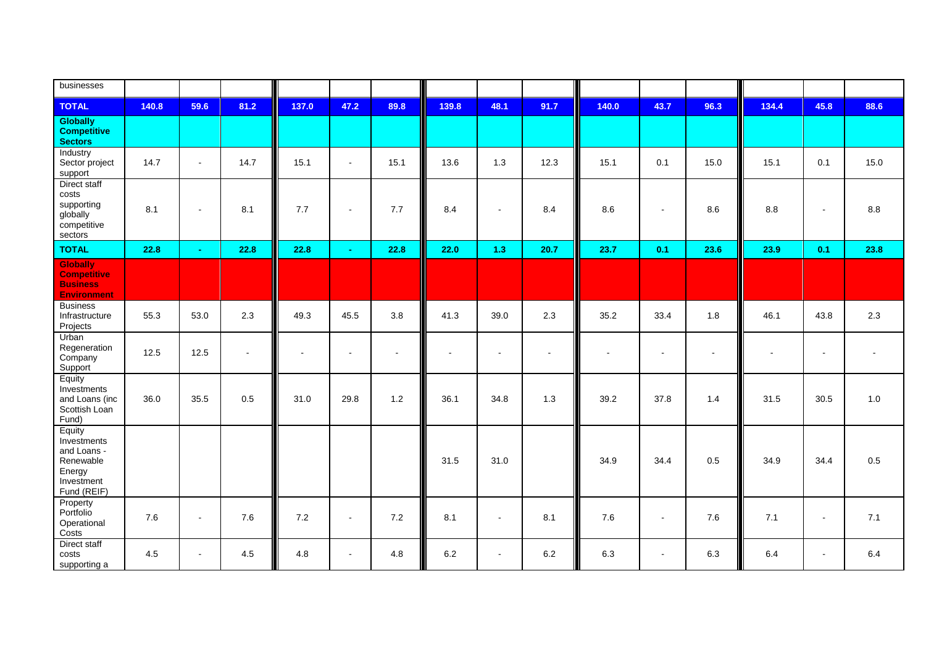| businesses                                                                               |       |                |           |        |        |                |         |                |                |                       |                |                |                          |                          |                |
|------------------------------------------------------------------------------------------|-------|----------------|-----------|--------|--------|----------------|---------|----------------|----------------|-----------------------|----------------|----------------|--------------------------|--------------------------|----------------|
| <b>TOTAL</b>                                                                             | 140.8 | 59.6           | 81.2      | 137.0  | 47.2   | 89.8           | 139.8   | 48.1           | 91.7           | 140.0                 | 43.7           | 96.3           | 134.4                    | 45.8                     | 88.6           |
| <b>Globally</b><br><b>Competitive</b><br><b>Sectors</b>                                  |       |                |           |        |        |                |         |                |                |                       |                |                |                          |                          |                |
| Industry<br>Sector project<br>support                                                    | 14.7  | $\blacksquare$ | 14.7      | 15.1   | $\sim$ | 15.1           | 13.6    | 1.3            | 12.3           | 15.1                  | 0.1            | 15.0           | 15.1                     | 0.1                      | 15.0           |
| Direct staff<br>costs<br>supporting<br>globally<br>competitive<br>sectors                | 8.1   | $\sim$         | 8.1       | 7.7    | $\sim$ | 7.7            | 8.4     | $\blacksquare$ | 8.4            | 8.6                   | $\blacksquare$ | 8.6            | 8.8                      | $\sim$                   | $8.8\,$        |
| <b>TOTAL</b>                                                                             | 22.8  | $\sim$         | 22.8      | 22.8   | $\sim$ | 22.8           | 22.0    | 1.3            | 20.7           | 23.7                  | 0.1            | 23.6           | 23.9                     | 0.1                      | 23.8           |
| <b>Globally</b><br><b>Competitive</b><br><b>Business</b><br><b>Environment</b>           |       |                |           |        |        |                |         |                |                |                       |                |                |                          |                          |                |
| <b>Business</b><br>Infrastructure<br>Projects                                            | 55.3  | 53.0           | 2.3       | 49.3   | 45.5   | 3.8            | 41.3    | 39.0           | 2.3            | 35.2                  | 33.4           | 1.8            | 46.1                     | 43.8                     | 2.3            |
| Urban<br>Regeneration<br>Company<br>Support                                              | 12.5  | 12.5           | $\bullet$ | $\sim$ | $\sim$ | $\blacksquare$ | $\sim$  | $\blacksquare$ | $\blacksquare$ | $\tilde{\phantom{a}}$ | $\blacksquare$ | $\blacksquare$ | $\overline{\phantom{a}}$ | $\overline{\phantom{a}}$ | $\blacksquare$ |
| Equity<br>Investments<br>and Loans (inc<br>Scottish Loan<br>Fund)                        | 36.0  | 35.5           | 0.5       | 31.0   | 29.8   | $1.2$          | 36.1    | 34.8           | 1.3            | 39.2                  | 37.8           | 1.4            | 31.5                     | 30.5                     | 1.0            |
| Equity<br>Investments<br>and Loans -<br>Renewable<br>Energy<br>Investment<br>Fund (REIF) |       |                |           |        |        |                | 31.5    | 31.0           |                | 34.9                  | 34.4           | 0.5            | 34.9                     | 34.4                     | 0.5            |
| Property<br>Portfolio<br>Operational<br>Costs                                            | 7.6   | $\blacksquare$ | 7.6       | 7.2    | $\sim$ | 7.2            | 8.1     | $\blacksquare$ | 8.1            | 7.6                   | $\blacksquare$ | 7.6            | 7.1                      | $\sim$                   | 7.1            |
| Direct staff<br>costs<br>supporting a                                                    | 4.5   | $\sim$         | 4.5       | 4.8    | $\sim$ | 4.8            | $6.2\,$ | $\blacksquare$ | 6.2            | 6.3                   | $\blacksquare$ | 6.3            | 6.4                      | $\blacksquare$           | 6.4            |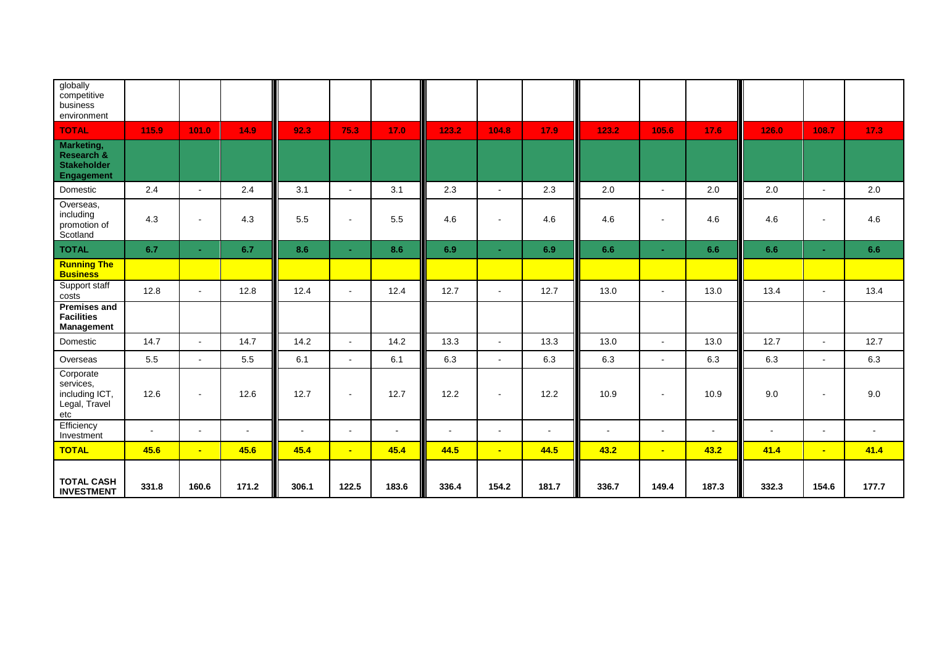| globally<br>competitive<br>business<br>environment                  |                |                |        |                |                |        |        |                |        |        |                          |                |        |                |        |
|---------------------------------------------------------------------|----------------|----------------|--------|----------------|----------------|--------|--------|----------------|--------|--------|--------------------------|----------------|--------|----------------|--------|
| <b>TOTAL</b>                                                        | 115.9          | 101.0          | 14.9   | 92.3           | 75.3           | 17.0   | 123.2  | 104.8          | 17.9   | 123.2  | 105.6                    | 17.6           | 126.0  | 108.7          | 17.3   |
| Marketing,<br>Research &<br><b>Stakeholder</b><br><b>Engagement</b> |                |                |        |                |                |        |        |                |        |        |                          |                |        |                |        |
| Domestic                                                            | 2.4            | $\blacksquare$ | 2.4    | 3.1            | $\blacksquare$ | 3.1    | 2.3    | $\sim$         | 2.3    | 2.0    | $\blacksquare$           | 2.0            | 2.0    | $\blacksquare$ | 2.0    |
| Overseas,<br>including<br>promotion of<br>Scotland                  | 4.3            | $\blacksquare$ | 4.3    | 5.5            | $\sim$         | 5.5    | 4.6    | $\blacksquare$ | 4.6    | 4.6    |                          | 4.6            | 4.6    | $\blacksquare$ | 4.6    |
| <b>TOTAL</b>                                                        | 6.7            | $\sim$         | 6.7    | 8.6            | $\sim$         | 8.6    | 6.9    | $\sim$         | 6.9    | 6.6    |                          | 6.6            | 6.6    | $\sim$         | 6.6    |
| <b>Running The</b><br><b>Business</b>                               |                |                |        |                |                |        |        |                |        |        |                          |                |        |                |        |
| Support staff<br>costs                                              | 12.8           | $\blacksquare$ | 12.8   | 12.4           | $\sim$         | 12.4   | 12.7   | $\mathbf{r}$   | 12.7   | 13.0   | $\blacksquare$           | 13.0           | 13.4   | $\blacksquare$ | 13.4   |
| <b>Premises and</b><br><b>Facilities</b><br><b>Management</b>       |                |                |        |                |                |        |        |                |        |        |                          |                |        |                |        |
| Domestic                                                            | 14.7           | $\sim$         | 14.7   | 14.2           | $\sim$         | 14.2   | 13.3   | $\overline{a}$ | 13.3   | 13.0   | $\sim$                   | 13.0           | 12.7   | $\blacksquare$ | 12.7   |
| Overseas                                                            | $5.5\,$        | $\blacksquare$ | 5.5    | 6.1            | $\sim$         | 6.1    | 6.3    | $\blacksquare$ | 6.3    | 6.3    | $\blacksquare$           | 6.3            | 6.3    | $\blacksquare$ | 6.3    |
| Corporate<br>services.<br>including ICT,<br>Legal, Travel<br>etc    | 12.6           | $\sim$         | 12.6   | 12.7           | $\sim$         | 12.7   | 12.2   | $\blacksquare$ | 12.2   | 10.9   | $\overline{\phantom{a}}$ | 10.9           | 9.0    | $\blacksquare$ | 9.0    |
| Efficiency<br>Investment                                            | $\blacksquare$ | $\blacksquare$ | $\sim$ | $\blacksquare$ | $\blacksquare$ | $\sim$ | $\sim$ | $\sim$         | $\sim$ | $\sim$ | $\sim$                   | $\blacksquare$ | $\sim$ | $\blacksquare$ | $\sim$ |
| <b>TOTAL</b>                                                        | 45.6           | $\blacksquare$ | 45.6   | 45.4           | $\sim$         | 45.4   | 44.5   | $\blacksquare$ | 44.5   | 43.2   | $\blacksquare$           | 43.2           | 41.4   | $\blacksquare$ | 41.4   |
| <b>TOTAL CASH</b><br><b>INVESTMENT</b>                              | 331.8          | 160.6          | 171.2  | 306.1          | 122.5          | 183.6  | 336.4  | 154.2          | 181.7  | 336.7  | 149.4                    | 187.3          | 332.3  | 154.6          | 177.7  |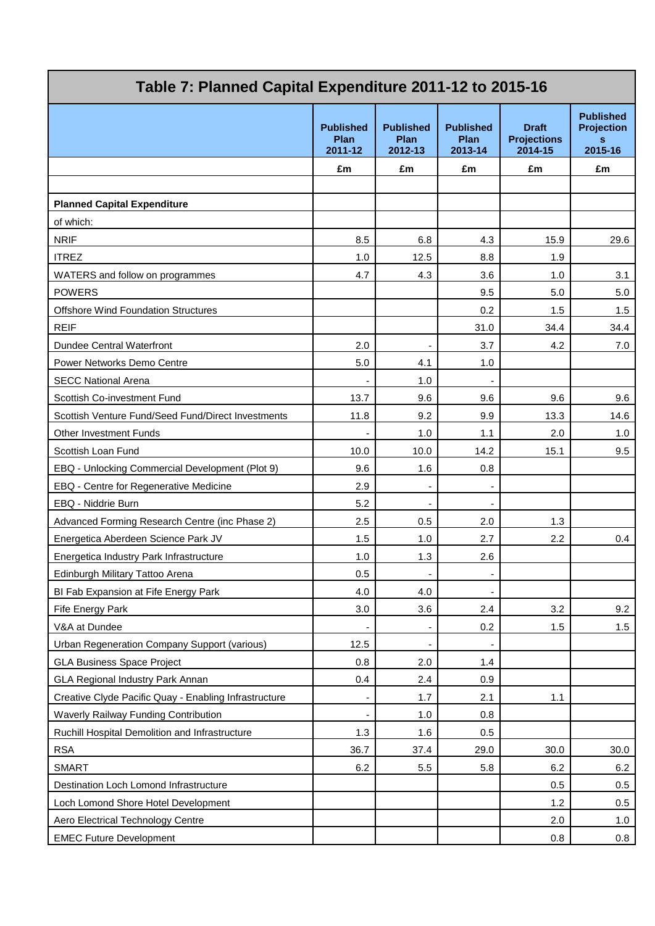| Table 7: Planned Capital Expenditure 2011-12 to 2015-16 |                                     |                                     |                                     |                                               |                                                       |  |  |
|---------------------------------------------------------|-------------------------------------|-------------------------------------|-------------------------------------|-----------------------------------------------|-------------------------------------------------------|--|--|
|                                                         | <b>Published</b><br>Plan<br>2011-12 | <b>Published</b><br>Plan<br>2012-13 | <b>Published</b><br>Plan<br>2013-14 | <b>Draft</b><br><b>Projections</b><br>2014-15 | <b>Published</b><br><b>Projection</b><br>s<br>2015-16 |  |  |
|                                                         | £m                                  | £m                                  | £m                                  | £m                                            | £m                                                    |  |  |
|                                                         |                                     |                                     |                                     |                                               |                                                       |  |  |
| <b>Planned Capital Expenditure</b>                      |                                     |                                     |                                     |                                               |                                                       |  |  |
| of which:                                               |                                     |                                     |                                     |                                               |                                                       |  |  |
| <b>NRIF</b>                                             | 8.5                                 | 6.8                                 | 4.3                                 | 15.9                                          | 29.6                                                  |  |  |
| <b>ITREZ</b>                                            | 1.0                                 | 12.5                                | 8.8                                 | 1.9                                           |                                                       |  |  |
| WATERS and follow on programmes                         | 4.7                                 | 4.3                                 | 3.6                                 | 1.0                                           | 3.1                                                   |  |  |
| <b>POWERS</b>                                           |                                     |                                     | 9.5                                 | 5.0                                           | 5.0                                                   |  |  |
| <b>Offshore Wind Foundation Structures</b>              |                                     |                                     | 0.2                                 | 1.5                                           | 1.5                                                   |  |  |
| <b>REIF</b>                                             |                                     |                                     | 31.0                                | 34.4                                          | 34.4                                                  |  |  |
| Dundee Central Waterfront                               | 2.0                                 |                                     | 3.7                                 | 4.2                                           | 7.0                                                   |  |  |
| Power Networks Demo Centre                              | 5.0                                 | 4.1                                 | 1.0                                 |                                               |                                                       |  |  |
| <b>SECC National Arena</b>                              |                                     | 1.0                                 | ÷                                   |                                               |                                                       |  |  |
| Scottish Co-investment Fund                             | 13.7                                | 9.6                                 | 9.6                                 | 9.6                                           | 9.6                                                   |  |  |
| Scottish Venture Fund/Seed Fund/Direct Investments      | 11.8                                | 9.2                                 | 9.9                                 | 13.3                                          | 14.6                                                  |  |  |
| <b>Other Investment Funds</b>                           |                                     | 1.0                                 | 1.1                                 | 2.0                                           | 1.0                                                   |  |  |
| Scottish Loan Fund                                      | 10.0                                | 10.0                                | 14.2                                | 15.1                                          | 9.5                                                   |  |  |
| EBQ - Unlocking Commercial Development (Plot 9)         | 9.6                                 | 1.6                                 | 0.8                                 |                                               |                                                       |  |  |
| EBQ - Centre for Regenerative Medicine                  | 2.9                                 | $\overline{\phantom{a}}$            | $\overline{a}$                      |                                               |                                                       |  |  |
| EBQ - Niddrie Burn                                      | 5.2                                 |                                     | $\overline{\phantom{a}}$            |                                               |                                                       |  |  |
| Advanced Forming Research Centre (inc Phase 2)          | 2.5                                 | 0.5                                 | 2.0                                 | 1.3                                           |                                                       |  |  |
| Energetica Aberdeen Science Park JV                     | 1.5                                 | 1.0                                 | 2.7                                 | 2.2                                           | 0.4                                                   |  |  |
| Energetica Industry Park Infrastructure                 | 1.0                                 | 1.3                                 | 2.6                                 |                                               |                                                       |  |  |
| Edinburgh Military Tattoo Arena                         | 0.5                                 | $\overline{\phantom{a}}$            | $\overline{\phantom{a}}$            |                                               |                                                       |  |  |
| BI Fab Expansion at Fife Energy Park                    | 4.0                                 | 4.0                                 | $\overline{a}$                      |                                               |                                                       |  |  |
| Fife Energy Park                                        | 3.0                                 | 3.6                                 | 2.4                                 | 3.2                                           | 9.2                                                   |  |  |
| V&A at Dundee                                           |                                     |                                     | 0.2                                 | 1.5                                           | 1.5                                                   |  |  |
| Urban Regeneration Company Support (various)            | 12.5                                | $\overline{\phantom{a}}$            |                                     |                                               |                                                       |  |  |
| <b>GLA Business Space Project</b>                       | 0.8                                 | 2.0                                 | 1.4                                 |                                               |                                                       |  |  |
| GLA Regional Industry Park Annan                        | 0.4                                 | 2.4                                 | 0.9                                 |                                               |                                                       |  |  |
| Creative Clyde Pacific Quay - Enabling Infrastructure   |                                     | 1.7                                 | 2.1                                 | 1.1                                           |                                                       |  |  |
| Waverly Railway Funding Contribution                    |                                     | 1.0                                 | 0.8                                 |                                               |                                                       |  |  |
| Ruchill Hospital Demolition and Infrastructure          | 1.3                                 | 1.6                                 | 0.5                                 |                                               |                                                       |  |  |
| <b>RSA</b>                                              | 36.7                                | 37.4                                | 29.0                                | 30.0                                          | 30.0                                                  |  |  |
| <b>SMART</b>                                            | 6.2                                 | 5.5                                 | 5.8                                 | 6.2                                           | 6.2                                                   |  |  |
| Destination Loch Lomond Infrastructure                  |                                     |                                     |                                     | 0.5                                           | 0.5                                                   |  |  |
| Loch Lomond Shore Hotel Development                     |                                     |                                     |                                     | 1.2                                           | 0.5                                                   |  |  |
| Aero Electrical Technology Centre                       |                                     |                                     |                                     | 2.0                                           | 1.0                                                   |  |  |
| <b>EMEC Future Development</b>                          |                                     |                                     |                                     | 0.8                                           | 0.8                                                   |  |  |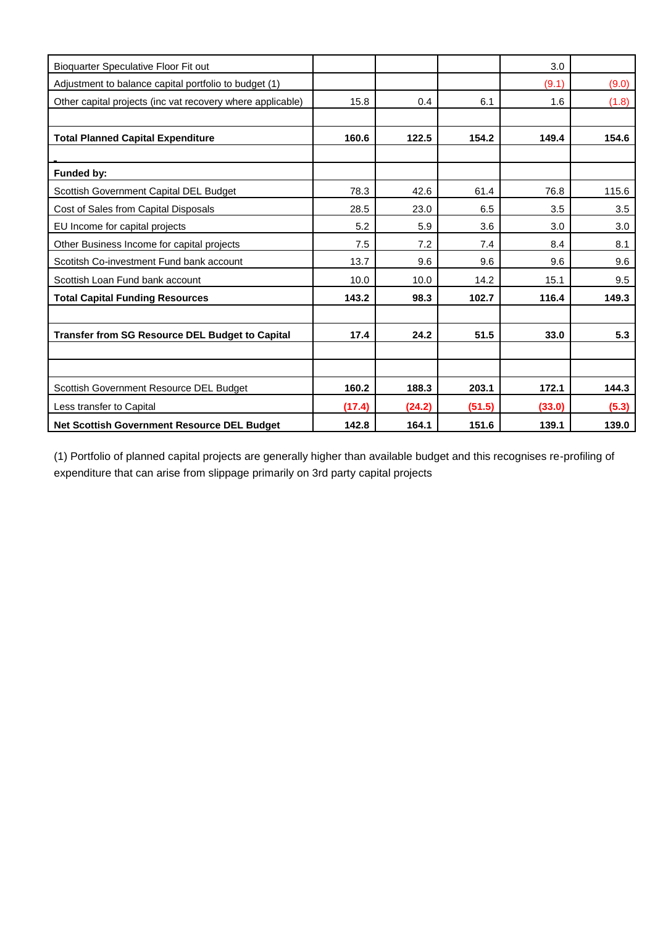| Bioquarter Speculative Floor Fit out                       |        |        |        | 3.0    |       |
|------------------------------------------------------------|--------|--------|--------|--------|-------|
| Adjustment to balance capital portfolio to budget (1)      |        |        |        | (9.1)  | (9.0) |
| Other capital projects (inc vat recovery where applicable) | 15.8   | 0.4    | 6.1    | 1.6    | (1.8) |
|                                                            |        |        |        |        |       |
| <b>Total Planned Capital Expenditure</b>                   | 160.6  | 122.5  | 154.2  | 149.4  | 154.6 |
|                                                            |        |        |        |        |       |
| Funded by:                                                 |        |        |        |        |       |
| Scottish Government Capital DEL Budget                     | 78.3   | 42.6   | 61.4   | 76.8   | 115.6 |
| Cost of Sales from Capital Disposals                       | 28.5   | 23.0   | 6.5    | 3.5    | 3.5   |
| EU Income for capital projects                             | 5.2    | 5.9    | 3.6    | 3.0    | 3.0   |
| Other Business Income for capital projects                 | 7.5    | 7.2    | 7.4    | 8.4    | 8.1   |
| Scotitsh Co-investment Fund bank account                   | 13.7   | 9.6    | 9.6    | 9.6    | 9.6   |
| Scottish Loan Fund bank account                            | 10.0   | 10.0   | 14.2   | 15.1   | 9.5   |
| <b>Total Capital Funding Resources</b>                     | 143.2  | 98.3   | 102.7  | 116.4  | 149.3 |
|                                                            |        |        |        |        |       |
| <b>Transfer from SG Resource DEL Budget to Capital</b>     | 17.4   | 24.2   | 51.5   | 33.0   | 5.3   |
|                                                            |        |        |        |        |       |
|                                                            |        |        |        |        |       |
| Scottish Government Resource DEL Budget                    | 160.2  | 188.3  | 203.1  | 172.1  | 144.3 |
| Less transfer to Capital                                   | (17.4) | (24.2) | (51.5) | (33.0) | (5.3) |
| Net Scottish Government Resource DEL Budget                | 142.8  | 164.1  | 151.6  | 139.1  | 139.0 |

(1) Portfolio of planned capital projects are generally higher than available budget and this recognises re-profiling of expenditure that can arise from slippage primarily on 3rd party capital projects